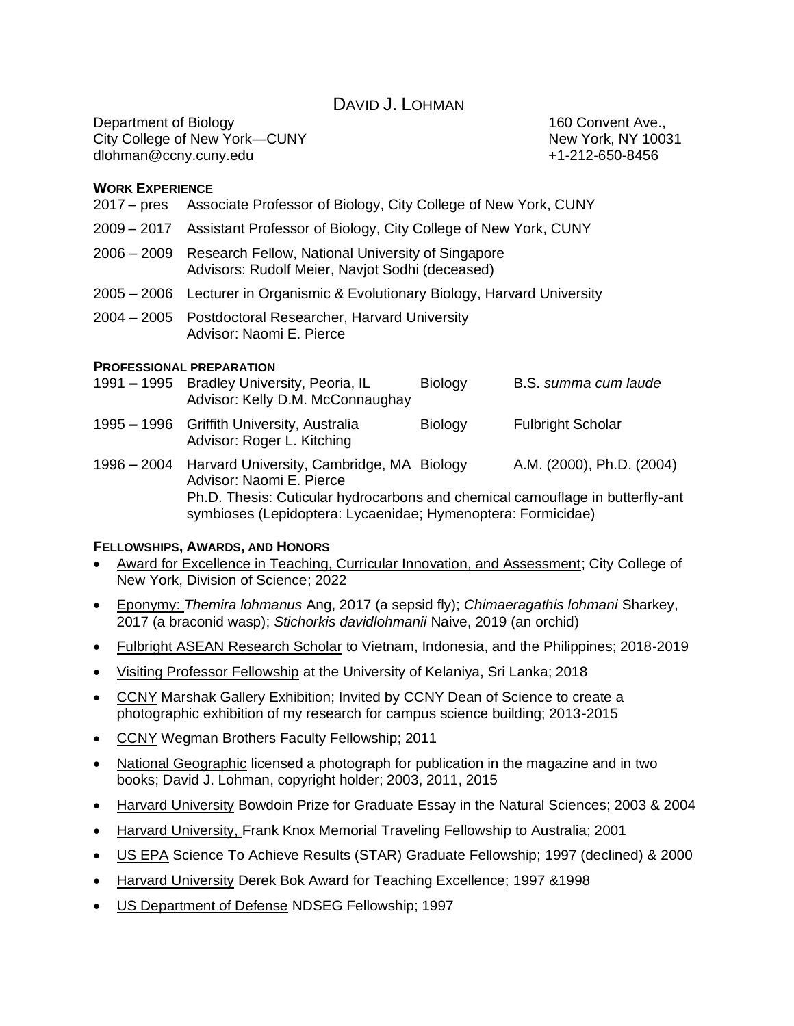DAVID J. LOHMAN

Department of Biology **160 Convent Ave.**, City College of New York—CUNY New York, NY 10031 dlohman@ccny.cuny.edu +1-212-650-8456

### **WORK EXPERIENCE**

- 2017 pres Associate Professor of Biology, City College of New York, CUNY
- 2009 2017 Assistant Professor of Biology, City College of New York, CUNY
- 2006 2009 Research Fellow, National University of Singapore Advisors: Rudolf Meier, Navjot Sodhi (deceased)
- 2005 2006 Lecturer in Organismic & Evolutionary Biology, Harvard University
- 2004 2005 Postdoctoral Researcher, Harvard University Advisor: Naomi E. Pierce

#### **PROFESSIONAL PREPARATION**

- 1991 **–** 1995 Bradley University, Peoria, IL Biology B.S. *summa cum laude* Advisor: Kelly D.M. McConnaughay 1995 **–** 1996 Griffith University, Australia Biology Fulbright Scholar Advisor: Roger L. Kitching
- 1996 **–** 2004 Harvard University, Cambridge, MA Biology A.M. (2000), Ph.D. (2004) Advisor: Naomi E. Pierce Ph.D. Thesis: Cuticular hydrocarbons and chemical camouflage in butterfly-ant symbioses (Lepidoptera: Lycaenidae; Hymenoptera: Formicidae)

### **FELLOWSHIPS, AWARDS, AND HONORS**

- Award for Excellence in Teaching, Curricular Innovation, and Assessment; City College of New York, Division of Science; 2022
- Eponymy: *Themira lohmanus* Ang, 2017 (a sepsid fly); *Chimaeragathis lohmani* Sharkey, 2017 (a braconid wasp); *Stichorkis davidlohmanii* Naive, 2019 (an orchid)
- Fulbright ASEAN Research Scholar to Vietnam, Indonesia, and the Philippines; 2018-2019
- Visiting Professor Fellowship at the University of Kelaniya, Sri Lanka; 2018
- CCNY Marshak Gallery Exhibition; Invited by CCNY Dean of Science to create a photographic exhibition of my research for campus science building; 2013-2015
- CCNY Wegman Brothers Faculty Fellowship; 2011
- National Geographic licensed a photograph for publication in the magazine and in two books; David J. Lohman, copyright holder; 2003, 2011, 2015
- Harvard University Bowdoin Prize for Graduate Essay in the Natural Sciences; 2003 & 2004
- Harvard University, Frank Knox Memorial Traveling Fellowship to Australia; 2001
- US EPA Science To Achieve Results (STAR) Graduate Fellowship; 1997 (declined) & 2000
- Harvard University Derek Bok Award for Teaching Excellence; 1997 &1998
- US Department of Defense NDSEG Fellowship; 1997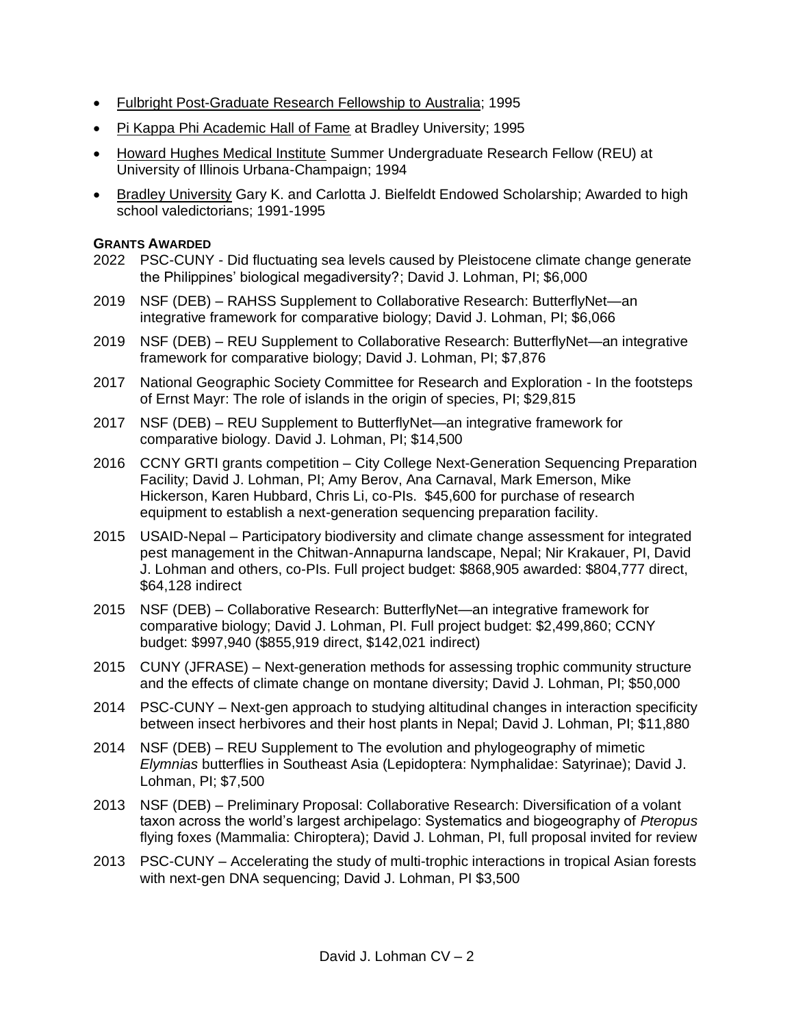- Fulbright Post-Graduate Research Fellowship to Australia; 1995
- Pi Kappa Phi Academic Hall of Fame at Bradley University; 1995
- Howard Hughes Medical Institute Summer Undergraduate Research Fellow (REU) at University of Illinois Urbana-Champaign; 1994
- Bradley University Gary K. and Carlotta J. Bielfeldt Endowed Scholarship; Awarded to high school valedictorians; 1991-1995

### **GRANTS AWARDED**

- 2022 PSC-CUNY Did fluctuating sea levels caused by Pleistocene climate change generate the Philippines' biological megadiversity?; David J. Lohman, PI; \$6,000
- 2019 NSF (DEB) RAHSS Supplement to Collaborative Research: ButterflyNet—an integrative framework for comparative biology; David J. Lohman, PI; \$6,066
- 2019 NSF (DEB) REU Supplement to Collaborative Research: ButterflyNet—an integrative framework for comparative biology; David J. Lohman, PI; \$7,876
- 2017 National Geographic Society Committee for Research and Exploration In the footsteps of Ernst Mayr: The role of islands in the origin of species, PI; \$29,815
- 2017 NSF (DEB) REU Supplement to ButterflyNet—an integrative framework for comparative biology. David J. Lohman, PI; \$14,500
- 2016 CCNY GRTI grants competition City College Next-Generation Sequencing Preparation Facility; David J. Lohman, PI; Amy Berov, Ana Carnaval, Mark Emerson, Mike Hickerson, Karen Hubbard, Chris Li, co-PIs. \$45,600 for purchase of research equipment to establish a next-generation sequencing preparation facility.
- 2015 USAID-Nepal Participatory biodiversity and climate change assessment for integrated pest management in the Chitwan-Annapurna landscape, Nepal; Nir Krakauer, PI, David J. Lohman and others, co-PIs. Full project budget: \$868,905 awarded: \$804,777 direct, \$64,128 indirect
- 2015 NSF (DEB) Collaborative Research: ButterflyNet—an integrative framework for comparative biology; David J. Lohman, PI. Full project budget: \$2,499,860; CCNY budget: \$997,940 (\$855,919 direct, \$142,021 indirect)
- 2015 CUNY (JFRASE) Next-generation methods for assessing trophic community structure and the effects of climate change on montane diversity; David J. Lohman, PI; \$50,000
- 2014 PSC-CUNY Next-gen approach to studying altitudinal changes in interaction specificity between insect herbivores and their host plants in Nepal; David J. Lohman, PI; \$11,880
- 2014 NSF (DEB) REU Supplement to The evolution and phylogeography of mimetic *Elymnias* butterflies in Southeast Asia (Lepidoptera: Nymphalidae: Satyrinae); David J. Lohman, PI; \$7,500
- 2013 NSF (DEB) Preliminary Proposal: Collaborative Research: Diversification of a volant taxon across the world's largest archipelago: Systematics and biogeography of *Pteropus*  flying foxes (Mammalia: Chiroptera); David J. Lohman, PI, full proposal invited for review
- 2013 PSC-CUNY Accelerating the study of multi-trophic interactions in tropical Asian forests with next-gen DNA sequencing; David J. Lohman, PI \$3,500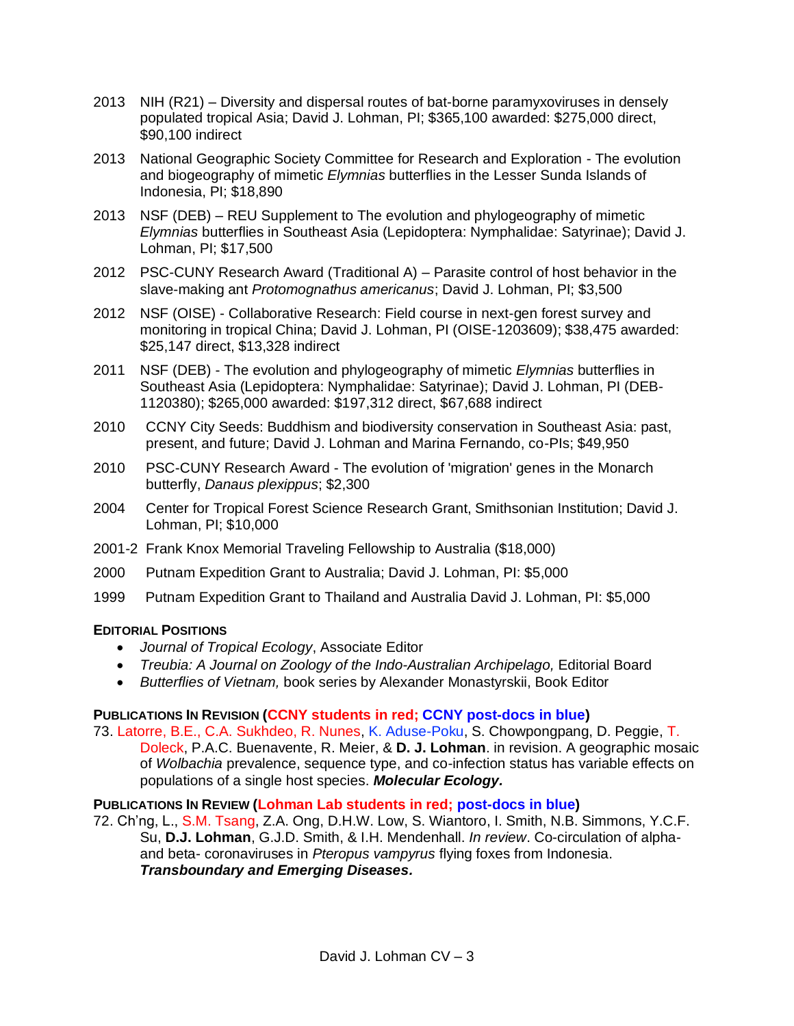- 2013 NIH (R21) Diversity and dispersal routes of bat-borne paramyxoviruses in densely populated tropical Asia; David J. Lohman, PI; \$365,100 awarded: \$275,000 direct, \$90,100 indirect
- 2013 National Geographic Society Committee for Research and Exploration The evolution and biogeography of mimetic *Elymnias* butterflies in the Lesser Sunda Islands of Indonesia, PI; \$18,890
- 2013 NSF (DEB) REU Supplement to The evolution and phylogeography of mimetic *Elymnias* butterflies in Southeast Asia (Lepidoptera: Nymphalidae: Satyrinae); David J. Lohman, PI; \$17,500
- 2012 PSC-CUNY Research Award (Traditional A) Parasite control of host behavior in the slave-making ant *Protomognathus americanus*; David J. Lohman, PI; \$3,500
- 2012 NSF (OISE) Collaborative Research: Field course in next-gen forest survey and monitoring in tropical China; David J. Lohman, PI (OISE-1203609); \$38,475 awarded: \$25,147 direct, \$13,328 indirect
- 2011 NSF (DEB) The evolution and phylogeography of mimetic *Elymnias* butterflies in Southeast Asia (Lepidoptera: Nymphalidae: Satyrinae); David J. Lohman, PI (DEB-1120380); \$265,000 awarded: \$197,312 direct, \$67,688 indirect
- 2010 CCNY City Seeds: Buddhism and biodiversity conservation in Southeast Asia: past, present, and future; David J. Lohman and Marina Fernando, co-PIs; \$49,950
- 2010 PSC-CUNY Research Award The evolution of 'migration' genes in the Monarch butterfly, *Danaus plexippus*; \$2,300
- 2004 Center for Tropical Forest Science Research Grant, Smithsonian Institution; David J. Lohman, PI; \$10,000
- 2001-2 Frank Knox Memorial Traveling Fellowship to Australia (\$18,000)
- 2000 Putnam Expedition Grant to Australia; David J. Lohman, PI: \$5,000
- 1999 Putnam Expedition Grant to Thailand and Australia David J. Lohman, PI: \$5,000

# **EDITORIAL POSITIONS**

- *Journal of Tropical Ecology*, Associate Editor
- *Treubia: A Journal on Zoology of the Indo-Australian Archipelago,* Editorial Board
- *Butterflies of Vietnam,* book series by Alexander Monastyrskii, Book Editor

### **PUBLICATIONS IN REVISION (CCNY students in red; CCNY post-docs in blue)**

73. Latorre, B.E., C.A. Sukhdeo, R. Nunes, K. Aduse-Poku, S. Chowpongpang, D. Peggie, T. Doleck, P.A.C. Buenavente, R. Meier, & **D. J. Lohman**. in revision. A geographic mosaic of *Wolbachia* prevalence, sequence type, and co-infection status has variable effects on populations of a single host species. *Molecular Ecology.*

# **PUBLICATIONS IN REVIEW (Lohman Lab students in red; post-docs in blue)**

72. Ch'ng, L., S.M. Tsang, Z.A. Ong, D.H.W. Low, S. Wiantoro, I. Smith, N.B. Simmons, Y.C.F. Su, **D.J. Lohman**, G.J.D. Smith, & I.H. Mendenhall. *In review*. Co-circulation of alphaand beta- coronaviruses in *Pteropus vampyrus* flying foxes from Indonesia. *Transboundary and Emerging Diseases.*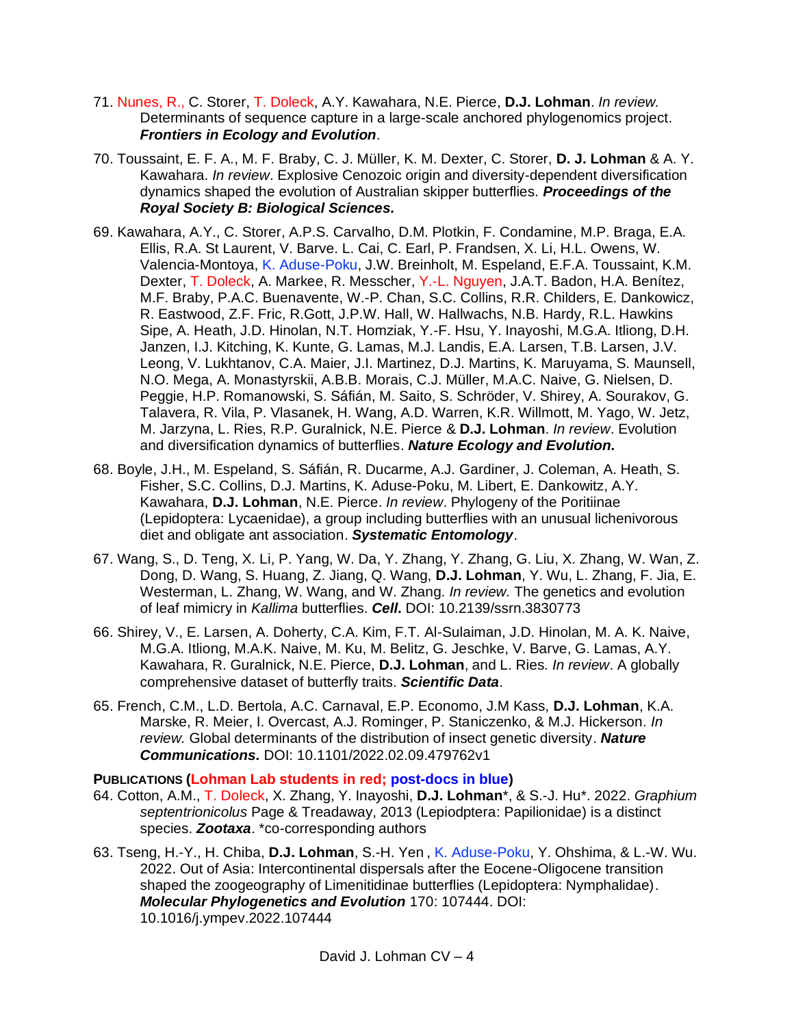- 71. Nunes, R., C. Storer, T. Doleck, A.Y. Kawahara, N.E. Pierce, **D.J. Lohman**. *In review.*  Determinants of sequence capture in a large-scale anchored phylogenomics project. *Frontiers in Ecology and Evolution*.
- 70. Toussaint, E. F. A., M. F. Braby, C. J. Müller, K. M. Dexter, C. Storer, **D. J. Lohman** & A. Y. Kawahara. *In review*. Explosive Cenozoic origin and diversity-dependent diversification dynamics shaped the evolution of Australian skipper butterflies. *Proceedings of the Royal Society B: Biological Sciences.*
- 69. Kawahara, A.Y., C. Storer, A.P.S. Carvalho, D.M. Plotkin, F. Condamine, M.P. Braga, E.A. Ellis, R.A. St Laurent, V. Barve. L. Cai, C. Earl, P. Frandsen, X. Li, H.L. Owens, W. Valencia-Montoya, K. Aduse-Poku, J.W. Breinholt, M. Espeland, E.F.A. Toussaint, K.M. Dexter, T. Doleck, A. Markee, R. Messcher, Y.-L. Nguyen, J.A.T. Badon, H.A. Benítez, M.F. Braby, P.A.C. Buenavente, W.-P. Chan, S.C. Collins, R.R. Childers, E. Dankowicz, R. Eastwood, Z.F. Fric, R.Gott, J.P.W. Hall, W. Hallwachs, N.B. Hardy, R.L. Hawkins Sipe, A. Heath, J.D. Hinolan, N.T. Homziak, Y.-F. Hsu, Y. Inayoshi, M.G.A. Itliong, D.H. Janzen, I.J. Kitching, K. Kunte, G. Lamas, M.J. Landis, E.A. Larsen, T.B. Larsen, J.V. Leong, V. Lukhtanov, C.A. Maier, J.I. Martinez, D.J. Martins, K. Maruyama, S. Maunsell, N.O. Mega, A. Monastyrskii, A.B.B. Morais, C.J. Müller, M.A.C. Naive, G. Nielsen, D. Peggie, H.P. Romanowski, S. Sáfián, M. Saito, S. Schröder, V. Shirey, A. Sourakov, G. Talavera, R. Vila, P. Vlasanek, H. Wang, A.D. Warren, K.R. Willmott, M. Yago, W. Jetz, M. Jarzyna, L. Ries, R.P. Guralnick, N.E. Pierce & **D.J. Lohman**. *In review*. Evolution and diversification dynamics of butterflies. *Nature Ecology and Evolution.*
- 68. Boyle, J.H., M. Espeland, S. Sáfián, R. Ducarme, A.J. Gardiner, J. Coleman, A. Heath, S. Fisher, S.C. Collins, D.J. Martins, K. Aduse-Poku, M. Libert, E. Dankowitz, A.Y. Kawahara, **D.J. Lohman**, N.E. Pierce. *In review*. Phylogeny of the Poritiinae (Lepidoptera: Lycaenidae), a group including butterflies with an unusual lichenivorous diet and obligate ant association. *Systematic Entomology*.
- 67. Wang, S., D. Teng, X. Li, P. Yang, W. Da, Y. Zhang, Y. Zhang, G. Liu, X. Zhang, W. Wan, Z. Dong, D. Wang, S. Huang, Z. Jiang, Q. Wang, **D.J. Lohman**, Y. Wu, L. Zhang, F. Jia, E. Westerman, L. Zhang, W. Wang, and W. Zhang. *In review.* The genetics and evolution of leaf mimicry in *Kallima* butterflies. *Cell***.** DOI: 10.2139/ssrn.3830773
- 66. Shirey, V., E. Larsen, A. Doherty, C.A. Kim, F.T. Al-Sulaiman, J.D. Hinolan, M. A. K. Naive, M.G.A. Itliong, M.A.K. Naive, M. Ku, M. Belitz, G. Jeschke, V. Barve, G. Lamas, A.Y. Kawahara, R. Guralnick, N.E. Pierce, **D.J. Lohman**, and L. Ries*. In review*. A globally comprehensive dataset of butterfly traits. *Scientific Data*.
- 65. French, C.M., L.D. Bertola, A.C. Carnaval, E.P. Economo, J.M Kass, **D.J. Lohman**, K.A. Marske, R. Meier, I. Overcast, A.J. Rominger, P. Staniczenko, & M.J. Hickerson*. In review.* Global determinants of the distribution of insect genetic diversity. *Nature Communications.* DOI: 10.1101/2022.02.09.479762v1

# **PUBLICATIONS (Lohman Lab students in red; post-docs in blue)**

- 64. Cotton, A.M., T. Doleck, X. Zhang, Y. Inayoshi, **D.J. Lohman**\*, & S.-J. Hu\*. 2022. *Graphium septentrionicolus* Page & Treadaway, 2013 (Lepiodptera: Papilionidae) is a distinct species. *Zootaxa*. \*co-corresponding authors
- 63. Tseng, H.-Y., H. Chiba, **D.J. Lohman**, S.-H. Yen , K. Aduse-Poku, Y. Ohshima, & L.-W. Wu. 2022. Out of Asia: Intercontinental dispersals after the Eocene-Oligocene transition shaped the zoogeography of Limenitidinae butterflies (Lepidoptera: Nymphalidae). *Molecular Phylogenetics and Evolution* 170: 107444. DOI: 10.1016/j.ympev.2022.107444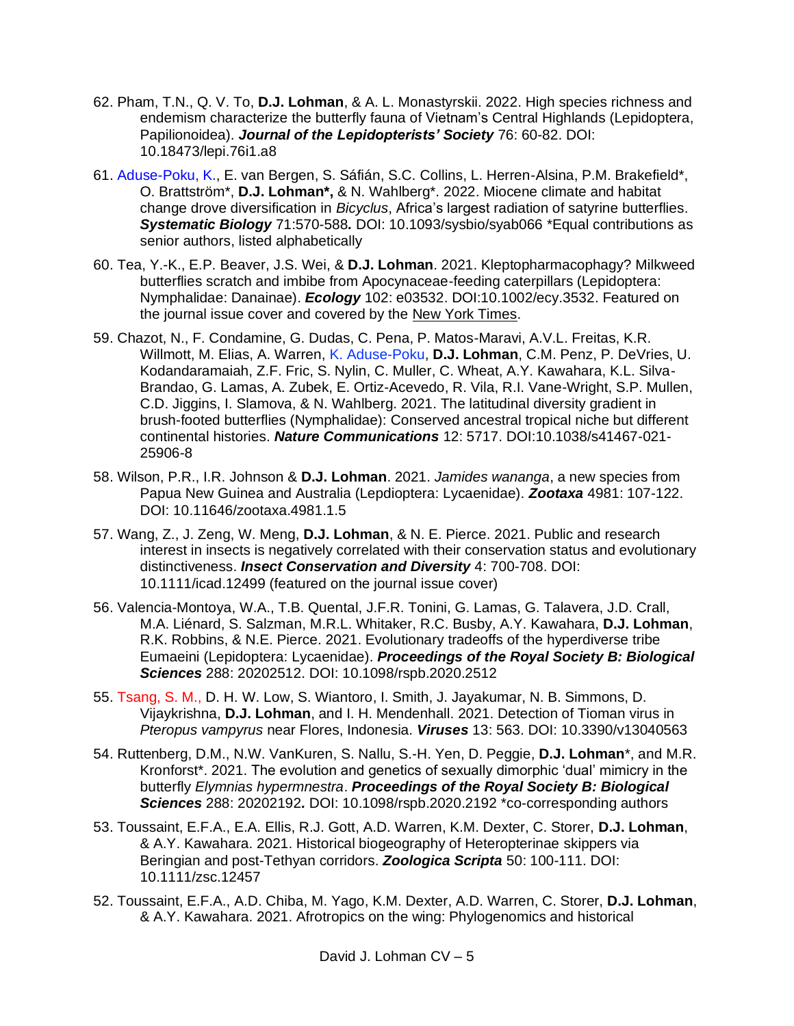- 62. Pham, T.N., Q. V. To, **D.J. Lohman**, & A. L. Monastyrskii. 2022. High species richness and endemism characterize the butterfly fauna of Vietnam's Central Highlands (Lepidoptera, Papilionoidea). *Journal of the Lepidopterists' Society* 76: 60-82. DOI: 10.18473/lepi.76i1.a8
- 61. Aduse-Poku, K., E. van Bergen, S. Sáfián, S.C. Collins, L. Herren-Alsina, P.M. Brakefield\*, O. Brattström\*, **D.J. Lohman\*,** & N. Wahlberg\*. 2022. Miocene climate and habitat change drove diversification in *Bicyclus*, Africa's largest radiation of satyrine butterflies. *Systematic Biology* 71:570-588*.* DOI: 10.1093/sysbio/syab066 \*Equal contributions as senior authors, listed alphabetically
- 60. Tea, Y.-K., E.P. Beaver, J.S. Wei, & **D.J. Lohman**. 2021. Kleptopharmacophagy? Milkweed butterflies scratch and imbibe from Apocynaceae-feeding caterpillars (Lepidoptera: Nymphalidae: Danainae). *Ecology* 102: e03532. DOI:10.1002/ecy.3532. Featured on the journal issue cover and covered by the [New York Times.](https://www.nytimes.com/2021/09/09/science/butterflies-eating-caterpillars.html?unlocked_article_code=AAAAAAAAAAAAAAAACEIPuonUktbfqohkQVUbCibOVtkqqBaLwvLS3KAxnHH6LSWODDtL0-UTDM2L8lvAf7JiY986xS_dRMNENPVnYs1O-dJlHh4nTRi08NzDkY4ZIi4xpMW_VWhp08icAfU1-m7gKzSyJLw6zuyx4lfabGHvD6yM1SUlJFl1sNAyIwHRrH8Mzq_BEeNz0sAvnqtyQ8AnGkpTIXWCrPLqCB1hOdWZbhi66gU-We9RWzC7jsfLovtbM10UUQSaOSs5tWUs69pcOMcVNLL_KnMjfMn_h7YQAw94PTiU_1TQqu0KsPT0Ej92O-E&smid=em-share&fbclid=IwAR0BTNKKAAsVUreh_dbm-byXrqkU0gq464YnheCM18Xu7uuEY73ULXvjvX8)
- 59. Chazot, N., F. Condamine, G. Dudas, C. Pena, P. Matos-Maravi, A.V.L. Freitas, K.R. Willmott, M. Elias, A. Warren, K. Aduse-Poku, **D.J. Lohman**, C.M. Penz, P. DeVries, U. Kodandaramaiah, Z.F. Fric, S. Nylin, C. Muller, C. Wheat, A.Y. Kawahara, K.L. Silva-Brandao, G. Lamas, A. Zubek, E. Ortiz-Acevedo, R. Vila, R.I. Vane-Wright, S.P. Mullen, C.D. Jiggins, I. Slamova, & N. Wahlberg. 2021. The latitudinal diversity gradient in brush-footed butterflies (Nymphalidae): Conserved ancestral tropical niche but different continental histories. *Nature Communications* 12: 5717. DOI:10.1038/s41467-021- 25906-8
- 58. Wilson, P.R., I.R. Johnson & **D.J. Lohman**. 2021. *Jamides wananga*, a new species from Papua New Guinea and Australia (Lepdioptera: Lycaenidae). *Zootaxa* 4981: 107-122. DOI: [10.11646/zootaxa.4981.1.5](https://doi.org/10.11646/zootaxa.4981.1.5)
- 57. Wang, Z., J. Zeng, W. Meng, **D.J. Lohman**, & N. E. Pierce. 2021. Public and research interest in insects is negatively correlated with their conservation status and evolutionary distinctiveness. *Insect Conservation and Diversity* 4: 700-708. DOI: 10.1111/icad.12499 (featured on the journal issue cover)
- 56. Valencia-Montoya, W.A., T.B. Quental, J.F.R. Tonini, G. Lamas, G. Talavera, J.D. Crall, M.A. Liénard, S. Salzman, M.R.L. Whitaker, R.C. Busby, A.Y. Kawahara, **D.J. Lohman**, R.K. Robbins, & N.E. Pierce. 2021. Evolutionary tradeoffs of the hyperdiverse tribe Eumaeini (Lepidoptera: Lycaenidae). *Proceedings of the Royal Society B: Biological Sciences* 288: 20202512. DOI: 10.1098/rspb.2020.2512
- 55. Tsang, S. M., D. H. W. Low, S. Wiantoro, I. Smith, J. Jayakumar, N. B. Simmons, D. Vijaykrishna, **D.J. Lohman**, and I. H. Mendenhall. 2021. Detection of Tioman virus in *Pteropus vampyrus* near Flores, Indonesia. *Viruses* 13: 563. DOI: 10.3390/v13040563
- 54. Ruttenberg, D.M., N.W. VanKuren, S. Nallu, S.-H. Yen, D. Peggie, **D.J. Lohman**\*, and M.R. Kronforst\*. 2021. The evolution and genetics of sexually dimorphic 'dual' mimicry in the butterfly *Elymnias hypermnestra*. *Proceedings of the Royal Society B: Biological Sciences* 288: 20202192*.* DOI: 10.1098/rspb.2020.2192 \*co-corresponding authors
- 53. Toussaint, E.F.A., E.A. Ellis, R.J. Gott, A.D. Warren, K.M. Dexter, C. Storer, **D.J. Lohman**, & A.Y. Kawahara. 2021. Historical biogeography of Heteropterinae skippers via Beringian and post-Tethyan corridors. *Zoologica Scripta* 50: 100-111. [DOI:](https://doi.org/10.1111/zsc.12457)  [10.1111/zsc.12457](https://doi.org/10.1111/zsc.12457)
- 52. Toussaint, E.F.A., A.D. Chiba, M. Yago, K.M. Dexter, A.D. Warren, C. Storer, **D.J. Lohman**, & A.Y. Kawahara. 2021. Afrotropics on the wing: Phylogenomics and historical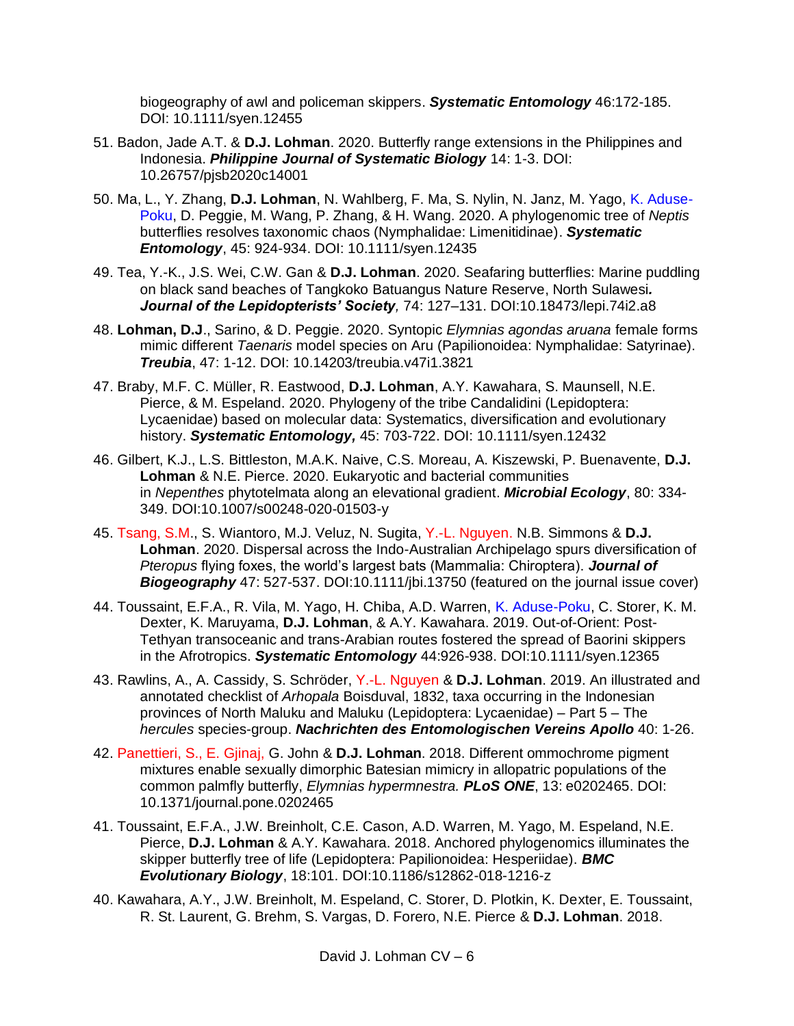biogeography of awl and policeman skippers. *Systematic Entomology* 46:172-185. DOI: [10.1111/syen.12455](https://doi.org/10.1111/syen.12455)

- 51. Badon, Jade A.T. & **D.J. Lohman**. 2020. Butterfly range extensions in the Philippines and Indonesia. *Philippine Journal of Systematic Biology* 14: 1-3. DOI: 10.26757/pjsb2020c14001
- 50. Ma, L., Y. Zhang, **D.J. Lohman**, N. Wahlberg, F. Ma, S. Nylin, N. Janz, M. Yago, K. Aduse-Poku, D. Peggie, M. Wang, P. Zhang, & H. Wang. 2020. A phylogenomic tree of *Neptis* butterflies resolves taxonomic chaos (Nymphalidae: Limenitidinae). *Systematic Entomology*, 45: 924-934. DOI: 10.1111/syen.12435
- 49. Tea, Y.-K., J.S. Wei, C.W. Gan & **D.J. Lohman**. 2020. Seafaring butterflies: Marine puddling on black sand beaches of Tangkoko Batuangus Nature Reserve, North Sulawesi*. Journal of the Lepidopterists' Society,* 74: 127–131. DOI:10.18473/lepi.74i2.a8
- 48. **Lohman, D.J**., Sarino, & D. Peggie. 2020. Syntopic *Elymnias agondas aruana* female forms mimic different *Taenaris* model species on Aru (Papilionoidea: Nymphalidae: Satyrinae). *Treubia*, 47: 1-12. DOI: 10.14203/treubia.v47i1.3821
- 47. Braby, M.F. C. Müller, R. Eastwood, **D.J. Lohman**, A.Y. Kawahara, S. Maunsell, N.E. Pierce, & M. Espeland. 2020. Phylogeny of the tribe Candalidini (Lepidoptera: Lycaenidae) based on molecular data: Systematics, diversification and evolutionary history. *Systematic Entomology,* 45: 703-722. DOI: 10.1111/syen.12432
- 46. Gilbert, K.J., L.S. Bittleston, M.A.K. Naive, C.S. Moreau, A. Kiszewski, P. Buenavente, **D.J. Lohman** & N.E. Pierce. 2020. Eukaryotic and bacterial communities in *Nepenthes* phytotelmata along an elevational gradient. *Microbial Ecology*, 80: 334- 349. DOI:10.1007/s00248-020-01503-y
- 45. Tsang, S.M., S. Wiantoro, M.J. Veluz, N. Sugita, Y.-L. Nguyen. N.B. Simmons & **D.J. Lohman**. 2020. Dispersal across the Indo-Australian Archipelago spurs diversification of *Pteropus* flying foxes, the world's largest bats (Mammalia: Chiroptera). *Journal of Biogeography* 47: 527-537. DOI:10.1111/jbi.13750 (featured on the journal issue cover)
- 44. Toussaint, E.F.A., R. Vila, M. Yago, H. Chiba, A.D. Warren, K. Aduse-Poku, C. Storer, K. M. Dexter, K. Maruyama, **D.J. Lohman**, & A.Y. Kawahara. 2019. Out-of-Orient: Post-Tethyan transoceanic and trans-Arabian routes fostered the spread of Baorini skippers in the Afrotropics. *Systematic Entomology* 44:926-938. DOI:10.1111/syen.12365
- 43. Rawlins, A., A. Cassidy, S. Schröder, Y.-L. Nguyen & **D.J. Lohman**. 2019. An illustrated and annotated checklist of *Arhopala* Boisduval, 1832, taxa occurring in the Indonesian provinces of North Maluku and Maluku (Lepidoptera: Lycaenidae) – Part 5 – The *hercules* species-group. *Nachrichten des Entomologischen Vereins Apollo* 40: 1-26.
- 42. Panettieri, S., E. Gjinaj, G. John & **D.J. Lohman**. 2018. Different ommochrome pigment mixtures enable sexually dimorphic Batesian mimicry in allopatric populations of the common palmfly butterfly, *Elymnias hypermnestra. PLoS ONE*, 13: e0202465. DOI: 10.1371/journal.pone.0202465
- 41. Toussaint, E.F.A., J.W. Breinholt, C.E. Cason, A.D. Warren, M. Yago, M. Espeland, N.E. Pierce, **D.J. Lohman** & A.Y. Kawahara. 2018. Anchored phylogenomics illuminates the skipper butterfly tree of life (Lepidoptera: Papilionoidea: Hesperiidae). *BMC Evolutionary Biology*, 18:101. DOI:10.1186/s12862-018-1216-z
- 40. Kawahara, A.Y., J.W. Breinholt, M. Espeland, C. Storer, D. Plotkin, K. Dexter, E. Toussaint, R. St. Laurent, G. Brehm, S. Vargas, D. Forero, N.E. Pierce & **D.J. Lohman**. 2018.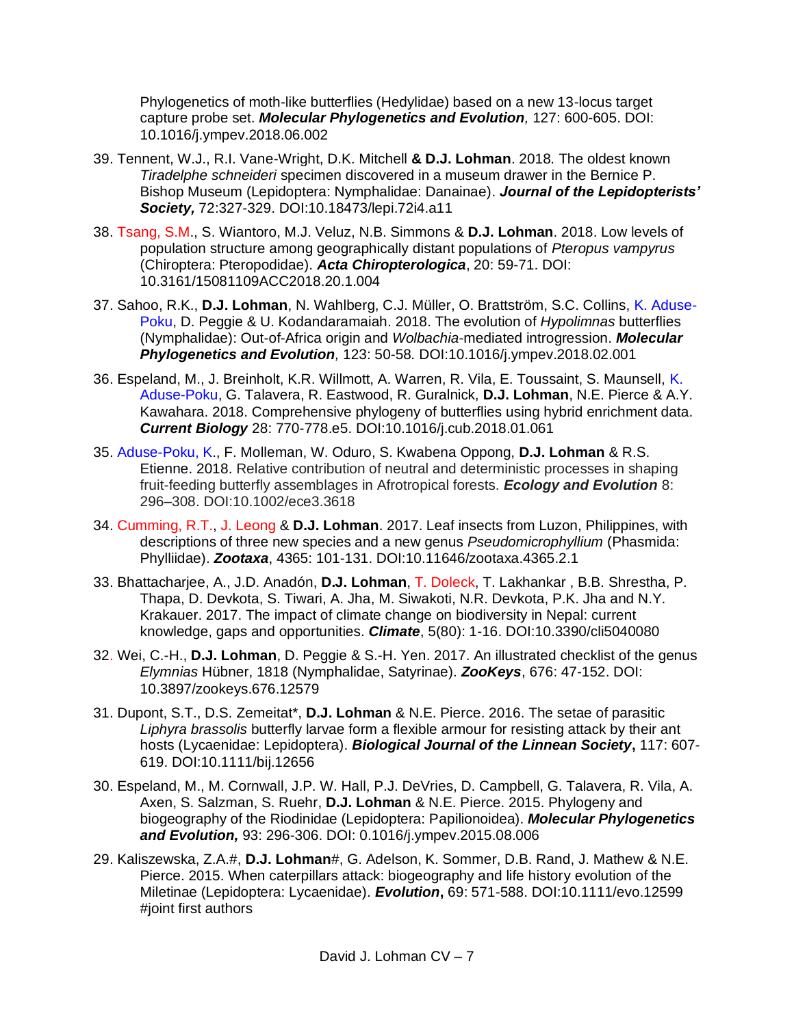Phylogenetics of moth-like butterflies (Hedylidae) based on a new 13-locus target capture probe set. *Molecular Phylogenetics and Evolution,* 127: 600-605. DOI: 10.1016/j.ympev.2018.06.002

- 39. Tennent, W.J., R.I. Vane-Wright, D.K. Mitchell **& D.J. Lohman**. 2018*.* The oldest known *Tiradelphe schneideri* specimen discovered in a museum drawer in the Bernice P. Bishop Museum (Lepidoptera: Nymphalidae: Danainae). *Journal of the Lepidopterists' Society,* 72:327-329. DOI:10.18473/lepi.72i4.a11
- 38. Tsang, S.M., S. Wiantoro, M.J. Veluz, N.B. Simmons & **D.J. Lohman**. 2018. Low levels of population structure among geographically distant populations of *Pteropus vampyrus* (Chiroptera: Pteropodidae). *Acta Chiropterologica*, 20: 59-71. DOI: 10.3161/15081109ACC2018.20.1.004
- 37. Sahoo, R.K., **D.J. Lohman**, N. Wahlberg, C.J. Müller, O. Brattström, S.C. Collins, K. Aduse-Poku, D. Peggie & U. Kodandaramaiah. 2018. The evolution of *Hypolimnas* butterflies (Nymphalidae): Out-of-Africa origin and *Wolbachia*-mediated introgression. *Molecular Phylogenetics and Evolution,* 123: 50-58*.* DOI:10.1016/j.ympev.2018.02.001
- 36. Espeland, M., J. Breinholt, K.R. Willmott, A. Warren, R. Vila, E. Toussaint, S. Maunsell, K. Aduse-Poku, G. Talavera, R. Eastwood, R. Guralnick, **D.J. Lohman**, N.E. Pierce & A.Y. Kawahara. 2018. Comprehensive phylogeny of butterflies using hybrid enrichment data. *Current Biology* 28: 770-778.e5. DOI:10.1016/j.cub.2018.01.061
- 35. Aduse-Poku, K., F. Molleman, W. Oduro, S. Kwabena Oppong, **D.J. Lohman** & R.S. Etienne. 2018. Relative contribution of neutral and deterministic processes in shaping fruit-feeding butterfly assemblages in Afrotropical forests. *Ecology and Evolution* 8: 296–308. DOI:10.1002/ece3.3618
- 34. Cumming, R.T., J. Leong & **D.J. Lohman**. 2017. Leaf insects from Luzon, Philippines, with descriptions of three new species and a new genus *Pseudomicrophyllium* (Phasmida: Phylliidae). *Zootaxa*, 4365: 101-131. DOI:10.11646/zootaxa.4365.2.1
- 33. Bhattacharjee, A., J.D. Anadón, **D.J. Lohman**, T. Doleck, T. Lakhankar , B.B. Shrestha, P. Thapa, D. Devkota, S. Tiwari, A. Jha, M. Siwakoti, N.R. Devkota, P.K. Jha and N.Y. Krakauer. 2017. The impact of climate change on biodiversity in Nepal: current knowledge, gaps and opportunities. *Climate*, 5(80): 1-16. DOI:10.3390/cli5040080
- 32. Wei, C.-H., **D.J. Lohman**, D. Peggie & S.-H. Yen. 2017. An illustrated checklist of the genus *Elymnias* Hübner, 1818 (Nymphalidae, Satyrinae). *ZooKeys*, 676: 47-152. DOI: 10.3897/zookeys.676.12579
- 31. Dupont, S.T., D.S. Zemeitat\*, **D.J. Lohman** & N.E. Pierce. 2016. The setae of parasitic *Liphyra brassolis* butterfly larvae form a flexible armour for resisting attack by their ant hosts (Lycaenidae: Lepidoptera). *Biological Journal of the Linnean Society***,** 117: 607- 619. DOI:10.1111/bij.12656
- 30. Espeland, M., M. Cornwall, J.P. W. Hall, P.J. DeVries, D. Campbell, G. Talavera, R. Vila, A. Axen, S. Salzman, S. Ruehr, **D.J. Lohman** & N.E. Pierce. 2015. Phylogeny and biogeography of the Riodinidae (Lepidoptera: Papilionoidea). *Molecular Phylogenetics and Evolution,* 93: 296-306. DOI: 0.1016/j.ympev.2015.08.006
- 29. Kaliszewska, Z.A.#, **D.J. Lohman**#, G. Adelson, K. Sommer, D.B. Rand, J. Mathew & N.E. Pierce. 2015. When caterpillars attack: biogeography and life history evolution of the Miletinae (Lepidoptera: Lycaenidae). *Evolution***,** 69: 571-588. DOI:10.1111/evo.12599 #joint first authors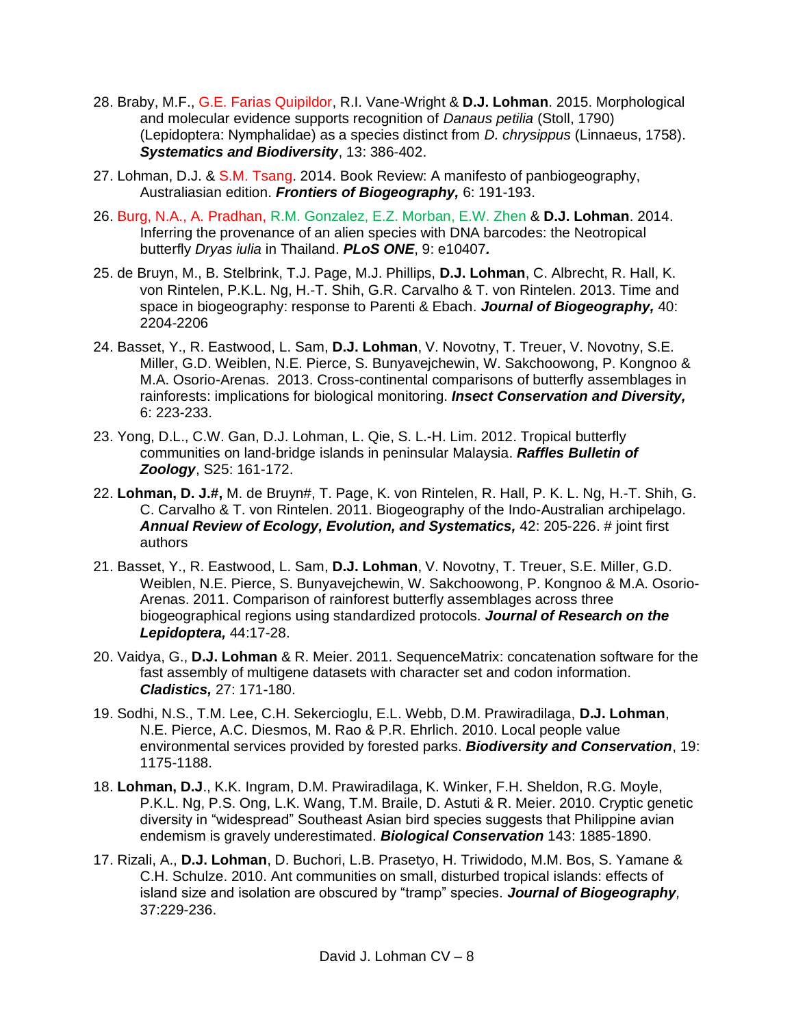- 28. Braby, M.F., G.E. Farias Quipildor, R.I. Vane-Wright & **D.J. Lohman**. 2015. Morphological and molecular evidence supports recognition of *Danaus petilia* (Stoll, 1790) (Lepidoptera: Nymphalidae) as a species distinct from *D. chrysippus* (Linnaeus, 1758). *Systematics and Biodiversity*, 13: 386-402.
- 27. Lohman, D.J. & S.M. Tsang. 2014. Book Review: A manifesto of panbiogeography, Australiasian edition. *Frontiers of Biogeography,* 6: 191-193.
- 26. Burg, N.A., A. Pradhan, R.M. Gonzalez, E.Z. Morban, E.W. Zhen & **D.J. Lohman**. 2014. Inferring the provenance of an alien species with DNA barcodes: the Neotropical butterfly *Dryas iulia* in Thailand. *PLoS ONE*, 9: e10407*.*
- 25. de Bruyn, M., B. Stelbrink, T.J. Page, M.J. Phillips, **D.J. Lohman**, C. Albrecht, R. Hall, K. von Rintelen, P.K.L. Ng, H.-T. Shih, G.R. Carvalho & T. von Rintelen. 2013. Time and space in biogeography: response to Parenti & Ebach. *Journal of Biogeography,* 40: 2204-2206
- 24. Basset, Y., R. Eastwood, L. Sam, **D.J. Lohman**, V. Novotny, T. Treuer, V. Novotny, S.E. Miller, G.D. Weiblen, N.E. Pierce, S. Bunyavejchewin, W. Sakchoowong, P. Kongnoo & M.A. Osorio-Arenas. 2013. Cross-continental comparisons of butterfly assemblages in rainforests: implications for biological monitoring. *Insect Conservation and Diversity,* 6: 223-233.
- 23. Yong, D.L., C.W. Gan, D.J. Lohman, L. Qie, S. L.-H. Lim. 2012. Tropical butterfly communities on land-bridge islands in peninsular Malaysia. *Raffles Bulletin of Zoology*, S25: 161-172.
- 22. **Lohman, D. J.#,** M. de Bruyn#, T. Page, K. von Rintelen, R. Hall, P. K. L. Ng, H.-T. Shih, G. C. Carvalho & T. von Rintelen. 2011. Biogeography of the Indo-Australian archipelago. *Annual Review of Ecology, Evolution, and Systematics,* 42: 205-226. # joint first authors
- 21. Basset, Y., R. Eastwood, L. Sam, **D.J. Lohman**, V. Novotny, T. Treuer, S.E. Miller, G.D. Weiblen, N.E. Pierce, S. Bunyavejchewin, W. Sakchoowong, P. Kongnoo & M.A. Osorio-Arenas. 2011. Comparison of rainforest butterfly assemblages across three biogeographical regions using standardized protocols. *Journal of Research on the Lepidoptera,* 44:17-28.
- 20. Vaidya, G., **D.J. Lohman** & R. Meier. 2011. SequenceMatrix: concatenation software for the fast assembly of multigene datasets with character set and codon information. *Cladistics,* 27: 171-180.
- 19. Sodhi, N.S., T.M. Lee, C.H. Sekercioglu, E.L. Webb, D.M. Prawiradilaga, **D.J. Lohman**, N.E. Pierce, A.C. Diesmos, M. Rao & P.R. Ehrlich. 2010. Local people value environmental services provided by forested parks. *Biodiversity and Conservation*, 19: 1175-1188.
- 18. **Lohman, D.J**., K.K. Ingram, D.M. Prawiradilaga, K. Winker, F.H. Sheldon, R.G. Moyle, P.K.L. Ng, P.S. Ong, L.K. Wang, T.M. Braile, D. Astuti & R. Meier. 2010. Cryptic genetic diversity in "widespread" Southeast Asian bird species suggests that Philippine avian endemism is gravely underestimated. *Biological Conservation* 143: 1885-1890.
- 17. Rizali, A., **D.J. Lohman**, D. Buchori, L.B. Prasetyo, H. Triwidodo, M.M. Bos, S. Yamane & C.H. Schulze. 2010. Ant communities on small, disturbed tropical islands: effects of island size and isolation are obscured by "tramp" species. *Journal of Biogeography,*  37:229-236.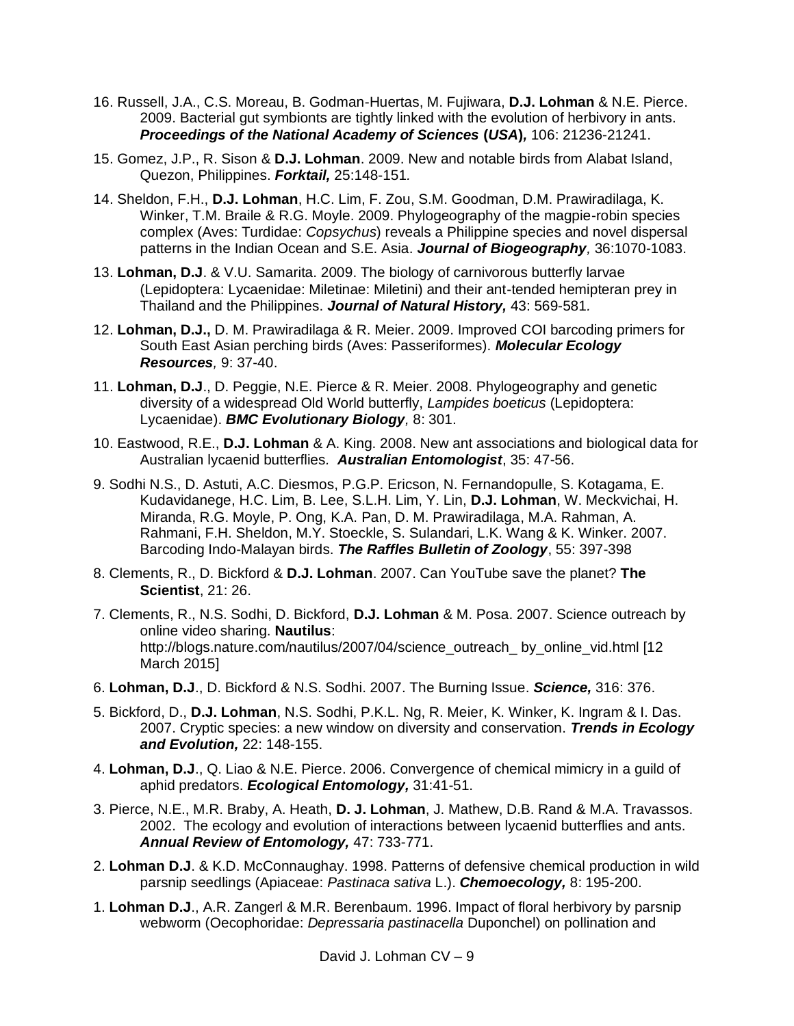- 16. Russell, J.A., C.S. Moreau, B. Godman-Huertas, M. Fujiwara, **D.J. Lohman** & N.E. Pierce. 2009. Bacterial gut symbionts are tightly linked with the evolution of herbivory in ants. *Proceedings of the National Academy of Sciences* **(***USA***)***,* 106: 21236-21241.
- 15. Gomez, J.P., R. Sison & **D.J. Lohman**. 2009. New and notable birds from Alabat Island, Quezon, Philippines. *Forktail,* 25:148-151*.*
- 14. Sheldon, F.H., **D.J. Lohman**, H.C. Lim, F. Zou, S.M. Goodman, D.M. Prawiradilaga, K. Winker, T.M. Braile & R.G. Moyle. 2009. Phylogeography of the magpie-robin species complex (Aves: Turdidae: *Copsychus*) reveals a Philippine species and novel dispersal patterns in the Indian Ocean and S.E. Asia. *Journal of Biogeography,* 36:1070-1083.
- 13. **Lohman, D.J**. & V.U. Samarita. 2009. The biology of carnivorous butterfly larvae (Lepidoptera: Lycaenidae: Miletinae: Miletini) and their ant-tended hemipteran prey in Thailand and the Philippines. *Journal of Natural History,* 43: 569-581*.*
- 12. **Lohman, D.J.,** D. M. Prawiradilaga & R. Meier. 2009. Improved COI barcoding primers for South East Asian perching birds (Aves: Passeriformes). *Molecular Ecology Resources,* 9: 37-40.
- 11. **Lohman, D.J**., D. Peggie, N.E. Pierce & R. Meier. 2008. Phylogeography and genetic diversity of a widespread Old World butterfly, *Lampides boeticus* (Lepidoptera: Lycaenidae). *BMC Evolutionary Biology,* 8: 301.
- 10. Eastwood, R.E., **D.J. Lohman** & A. King. 2008. New ant associations and biological data for Australian lycaenid butterflies*. Australian Entomologist*, 35: 47-56.
- 9. Sodhi N.S., D. Astuti, A.C. Diesmos, P.G.P. Ericson, N. Fernandopulle, S. Kotagama, E. Kudavidanege, H.C. Lim, B. Lee, S.L.H. Lim, Y. Lin, **D.J. Lohman**, W. Meckvichai, H. Miranda, R.G. Moyle, P. Ong, K.A. Pan, D. M. Prawiradilaga, M.A. Rahman, A. Rahmani, F.H. Sheldon, M.Y. Stoeckle, S. Sulandari, L.K. Wang & K. Winker. 2007. Barcoding Indo-Malayan birds. *The Raffles Bulletin of Zoology*, 55: 397-398
- 8. Clements, R., D. Bickford & **D.J. Lohman**. 2007. Can YouTube save the planet? **The Scientist**, 21: 26.
- 7. Clements, R., N.S. Sodhi, D. Bickford, **D.J. Lohman** & M. Posa. 2007. Science outreach by online video sharing. **Nautilus**: http://blogs.nature.com/nautilus/2007/04/science\_outreach\_ by\_online\_vid.html [12 March 2015]
- 6. **Lohman, D.J**., D. Bickford & N.S. Sodhi. 2007. The Burning Issue. *Science,* 316: 376.
- 5. Bickford, D., **D.J. Lohman**, N.S. Sodhi, P.K.L. Ng, R. Meier, K. Winker, K. Ingram & I. Das. 2007. Cryptic species: a new window on diversity and conservation. *Trends in Ecology and Evolution,* 22: 148-155.
- 4. **Lohman, D.J**., Q. Liao & N.E. Pierce. 2006. Convergence of chemical mimicry in a guild of aphid predators. *Ecological Entomology,* 31:41-51.
- 3. Pierce, N.E., M.R. Braby, A. Heath, **D. J. Lohman**, J. Mathew, D.B. Rand & M.A. Travassos. 2002. The ecology and evolution of interactions between lycaenid butterflies and ants. *Annual Review of Entomology,* 47: 733-771.
- 2. **Lohman D.J**. & K.D. McConnaughay. 1998. Patterns of defensive chemical production in wild parsnip seedlings (Apiaceae: *Pastinaca sativa* L.). *Chemoecology,* 8: 195-200.
- 1. **Lohman D.J**., A.R. Zangerl & M.R. Berenbaum. 1996. Impact of floral herbivory by parsnip webworm (Oecophoridae: *Depressaria pastinacella* Duponchel) on pollination and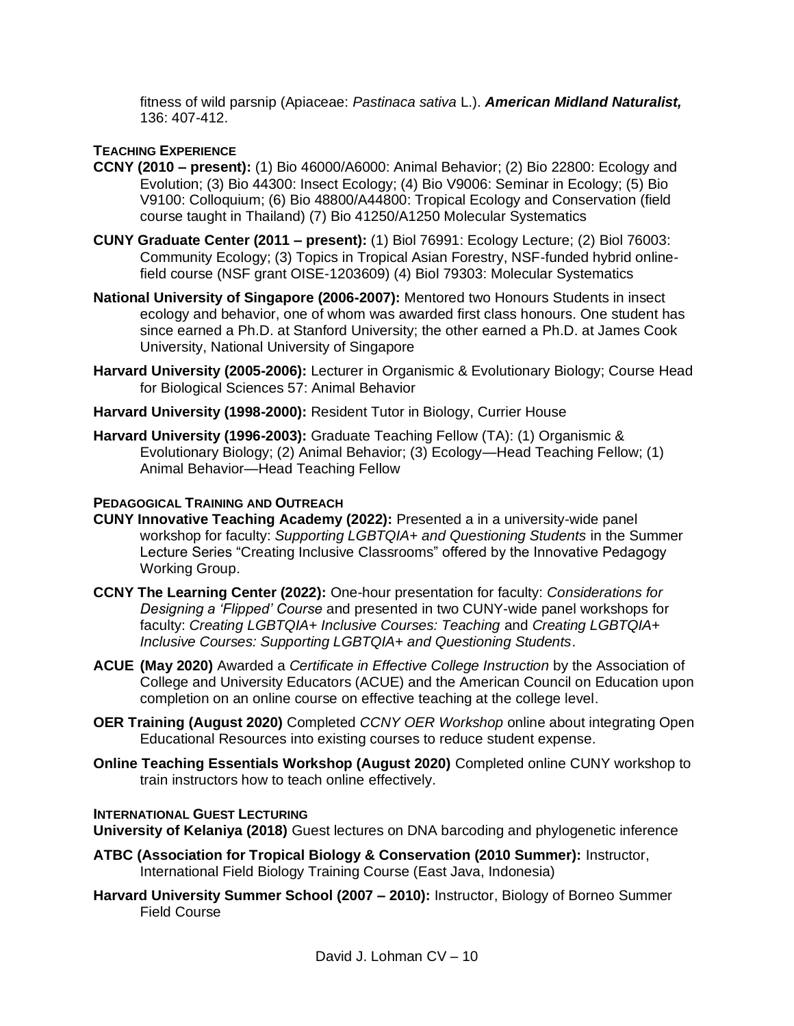fitness of wild parsnip (Apiaceae: *Pastinaca sativa* L.). *American Midland Naturalist,*  136: 407-412.

# **TEACHING EXPERIENCE**

- **CCNY (2010 – present):** (1) Bio 46000/A6000: Animal Behavior; (2) Bio 22800: Ecology and Evolution; (3) Bio 44300: Insect Ecology; (4) Bio V9006: Seminar in Ecology; (5) Bio V9100: Colloquium; (6) Bio 48800/A44800: Tropical Ecology and Conservation (field course taught in Thailand) (7) Bio 41250/A1250 Molecular Systematics
- **CUNY Graduate Center (2011 – present):** (1) Biol 76991: Ecology Lecture; (2) Biol 76003: Community Ecology; (3) Topics in Tropical Asian Forestry, NSF-funded hybrid onlinefield course (NSF grant OISE-1203609) (4) Biol 79303: Molecular Systematics
- **National University of Singapore (2006-2007):** Mentored two Honours Students in insect ecology and behavior, one of whom was awarded first class honours. One student has since earned a Ph.D. at Stanford University; the other earned a Ph.D. at James Cook University, National University of Singapore
- **Harvard University (2005-2006):** Lecturer in Organismic & Evolutionary Biology; Course Head for Biological Sciences 57: Animal Behavior
- **Harvard University (1998-2000):** Resident Tutor in Biology, Currier House
- **Harvard University (1996-2003):** Graduate Teaching Fellow (TA): (1) Organismic & Evolutionary Biology; (2) Animal Behavior; (3) Ecology—Head Teaching Fellow; (1) Animal Behavior—Head Teaching Fellow

# **PEDAGOGICAL TRAINING AND OUTREACH**

- **CUNY Innovative Teaching Academy (2022):** Presented a in a university-wide panel workshop for faculty: *Supporting LGBTQIA+ and Questioning Students* in the Summer Lecture Series "Creating Inclusive Classrooms" offered by the Innovative Pedagogy Working Group.
- **CCNY The Learning Center (2022):** One-hour presentation for faculty: *Considerations for Designing a 'Flipped' Course* and presented in two CUNY-wide panel workshops for faculty: *Creating LGBTQIA+ Inclusive Courses: Teaching* and *Creating LGBTQIA+ Inclusive Courses: Supporting LGBTQIA+ and Questioning Students*.
- **ACUE (May 2020)** Awarded a *Certificate in Effective College Instruction* by the Association of College and University Educators (ACUE) and the American Council on Education upon completion on an online course on effective teaching at the college level.
- **OER Training (August 2020)** Completed *CCNY OER Workshop* online about integrating Open Educational Resources into existing courses to reduce student expense.
- **Online Teaching Essentials Workshop (August 2020)** Completed online CUNY workshop to train instructors how to teach online effectively.

# **INTERNATIONAL GUEST LECTURING**

**University of Kelaniya (2018)** Guest lectures on DNA barcoding and phylogenetic inference

- **ATBC (Association for Tropical Biology & Conservation (2010 Summer):** Instructor, International Field Biology Training Course (East Java, Indonesia)
- **Harvard University Summer School (2007 – 2010):** Instructor, Biology of Borneo Summer Field Course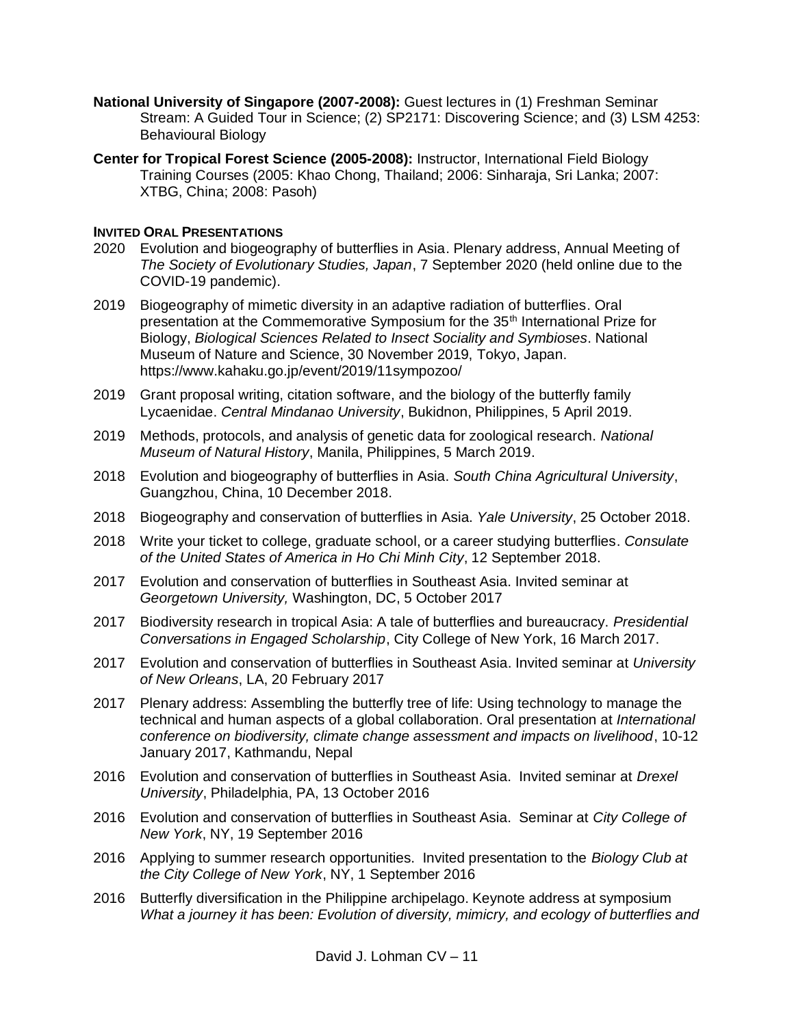- **National University of Singapore (2007-2008):** Guest lectures in (1) Freshman Seminar Stream: A Guided Tour in Science; (2) SP2171: Discovering Science; and (3) LSM 4253: Behavioural Biology
- **Center for Tropical Forest Science (2005-2008):** Instructor, International Field Biology Training Courses (2005: Khao Chong, Thailand; 2006: Sinharaja, Sri Lanka; 2007: XTBG, China; 2008: Pasoh)

## **INVITED ORAL PRESENTATIONS**

- 2020 Evolution and biogeography of butterflies in Asia. Plenary address, Annual Meeting of *The Society of Evolutionary Studies, Japan*, 7 September 2020 (held online due to the COVID-19 pandemic).
- 2019 Biogeography of mimetic diversity in an adaptive radiation of butterflies. Oral presentation at the Commemorative Symposium for the 35<sup>th</sup> International Prize for Biology, *Biological Sciences Related to Insect Sociality and Symbioses*. National Museum of Nature and Science, 30 November 2019, Tokyo, Japan. https://www.kahaku.go.jp/event/2019/11sympozoo/
- 2019 Grant proposal writing, citation software, and the biology of the butterfly family Lycaenidae. *Central Mindanao University*, Bukidnon, Philippines, 5 April 2019.
- 2019 Methods, protocols, and analysis of genetic data for zoological research. *National Museum of Natural History*, Manila, Philippines, 5 March 2019.
- 2018 Evolution and biogeography of butterflies in Asia. *South China Agricultural University*, Guangzhou, China, 10 December 2018.
- 2018 Biogeography and conservation of butterflies in Asia. *Yale University*, 25 October 2018.
- 2018 Write your ticket to college, graduate school, or a career studying butterflies. *Consulate of the United States of America in Ho Chi Minh City*, 12 September 2018.
- 2017 Evolution and conservation of butterflies in Southeast Asia. Invited seminar at *Georgetown University,* Washington, DC, 5 October 2017
- 2017 Biodiversity research in tropical Asia: A tale of butterflies and bureaucracy. *Presidential Conversations in Engaged Scholarship*, City College of New York, 16 March 2017.
- 2017 Evolution and conservation of butterflies in Southeast Asia. Invited seminar at *University of New Orleans*, LA, 20 February 2017
- 2017 Plenary address: Assembling the butterfly tree of life: Using technology to manage the technical and human aspects of a global collaboration. Oral presentation at *International conference on biodiversity, climate change assessment and impacts on livelihood*, 10-12 January 2017, Kathmandu, Nepal
- 2016 Evolution and conservation of butterflies in Southeast Asia. Invited seminar at *Drexel University*, Philadelphia, PA, 13 October 2016
- 2016 Evolution and conservation of butterflies in Southeast Asia. Seminar at *City College of New York*, NY, 19 September 2016
- 2016 Applying to summer research opportunities. Invited presentation to the *Biology Club at the City College of New York*, NY, 1 September 2016
- 2016 Butterfly diversification in the Philippine archipelago. Keynote address at symposium *What a journey it has been: Evolution of diversity, mimicry, and ecology of butterflies and*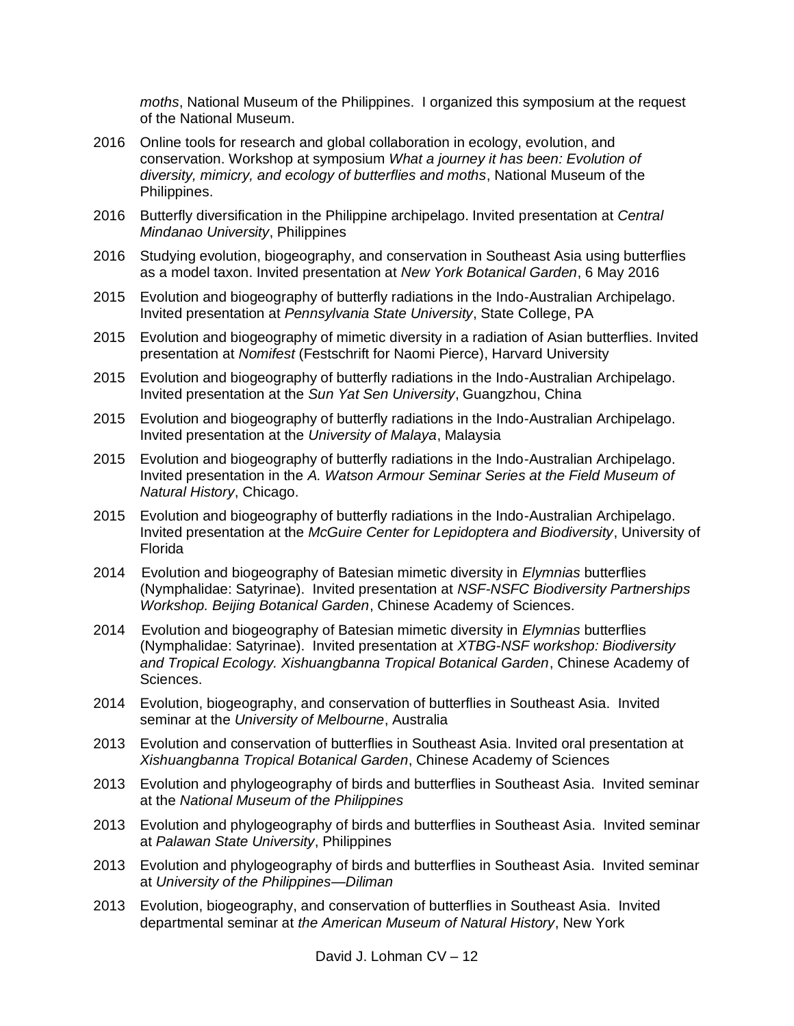*moths*, National Museum of the Philippines. I organized this symposium at the request of the National Museum.

- 2016 Online tools for research and global collaboration in ecology, evolution, and conservation. Workshop at symposium *What a journey it has been: Evolution of diversity, mimicry, and ecology of butterflies and moths*, National Museum of the Philippines.
- 2016 Butterfly diversification in the Philippine archipelago. Invited presentation at *Central Mindanao University*, Philippines
- 2016 Studying evolution, biogeography, and conservation in Southeast Asia using butterflies as a model taxon. Invited presentation at *New York Botanical Garden*, 6 May 2016
- 2015 Evolution and biogeography of butterfly radiations in the Indo-Australian Archipelago. Invited presentation at *Pennsylvania State University*, State College, PA
- 2015 Evolution and biogeography of mimetic diversity in a radiation of Asian butterflies. Invited presentation at *Nomifest* (Festschrift for Naomi Pierce), Harvard University
- 2015 Evolution and biogeography of butterfly radiations in the Indo-Australian Archipelago. Invited presentation at the *Sun Yat Sen University*, Guangzhou, China
- 2015 Evolution and biogeography of butterfly radiations in the Indo-Australian Archipelago. Invited presentation at the *University of Malaya*, Malaysia
- 2015 Evolution and biogeography of butterfly radiations in the Indo-Australian Archipelago. Invited presentation in the *A. Watson Armour Seminar Series at the Field Museum of Natural History*, Chicago.
- 2015 Evolution and biogeography of butterfly radiations in the Indo-Australian Archipelago. Invited presentation at the *McGuire Center for Lepidoptera and Biodiversity*, University of Florida
- 2014 Evolution and biogeography of Batesian mimetic diversity in *Elymnias* butterflies (Nymphalidae: Satyrinae). Invited presentation at *NSF-NSFC Biodiversity Partnerships Workshop. Beijing Botanical Garden*, Chinese Academy of Sciences.
- 2014 Evolution and biogeography of Batesian mimetic diversity in *Elymnias* butterflies (Nymphalidae: Satyrinae). Invited presentation at *XTBG-NSF workshop: Biodiversity and Tropical Ecology. Xishuangbanna Tropical Botanical Garden*, Chinese Academy of Sciences.
- 2014 Evolution, biogeography, and conservation of butterflies in Southeast Asia. Invited seminar at the *University of Melbourne*, Australia
- 2013 Evolution and conservation of butterflies in Southeast Asia. Invited oral presentation at *Xishuangbanna Tropical Botanical Garden*, Chinese Academy of Sciences
- 2013 Evolution and phylogeography of birds and butterflies in Southeast Asia. Invited seminar at the *National Museum of the Philippines*
- 2013 Evolution and phylogeography of birds and butterflies in Southeast Asia. Invited seminar at *Palawan State University*, Philippines
- 2013 Evolution and phylogeography of birds and butterflies in Southeast Asia. Invited seminar at *University of the Philippines—Diliman*
- 2013 Evolution, biogeography, and conservation of butterflies in Southeast Asia. Invited departmental seminar at *the American Museum of Natural History*, New York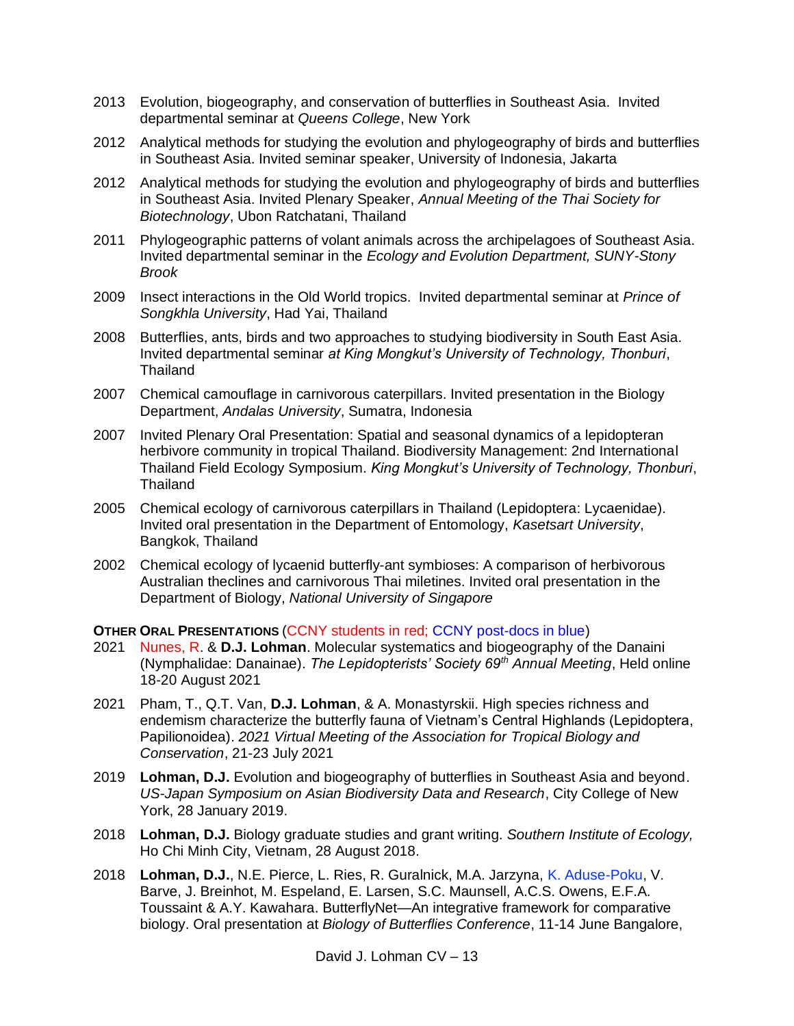- 2013 Evolution, biogeography, and conservation of butterflies in Southeast Asia. Invited departmental seminar at *Queens College*, New York
- 2012 Analytical methods for studying the evolution and phylogeography of birds and butterflies in Southeast Asia. Invited seminar speaker, University of Indonesia, Jakarta
- 2012 Analytical methods for studying the evolution and phylogeography of birds and butterflies in Southeast Asia. Invited Plenary Speaker, *Annual Meeting of the Thai Society for Biotechnology*, Ubon Ratchatani, Thailand
- 2011 Phylogeographic patterns of volant animals across the archipelagoes of Southeast Asia. Invited departmental seminar in the *Ecology and Evolution Department, SUNY-Stony Brook*
- 2009 Insect interactions in the Old World tropics. Invited departmental seminar at *Prince of Songkhla University*, Had Yai, Thailand
- 2008 Butterflies, ants, birds and two approaches to studying biodiversity in South East Asia. Invited departmental seminar *at King Mongkut's University of Technology, Thonburi*, Thailand
- 2007 Chemical camouflage in carnivorous caterpillars. Invited presentation in the Biology Department, *Andalas University*, Sumatra, Indonesia
- 2007 Invited Plenary Oral Presentation: Spatial and seasonal dynamics of a lepidopteran herbivore community in tropical Thailand. Biodiversity Management: 2nd International Thailand Field Ecology Symposium. *King Mongkut's University of Technology, Thonburi*, **Thailand**
- 2005 Chemical ecology of carnivorous caterpillars in Thailand (Lepidoptera: Lycaenidae). Invited oral presentation in the Department of Entomology, *Kasetsart University*, Bangkok, Thailand
- 2002 Chemical ecology of lycaenid butterfly-ant symbioses: A comparison of herbivorous Australian theclines and carnivorous Thai miletines. Invited oral presentation in the Department of Biology, *National University of Singapore*

### **OTHER ORAL PRESENTATIONS** (CCNY students in red; CCNY post-docs in blue)

- 2021 Nunes, R. & **D.J. Lohman**. Molecular systematics and biogeography of the Danaini (Nymphalidae: Danainae). *The Lepidopterists' Society 69th Annual Meeting*, Held online 18-20 August 2021
- 2021 Pham, T., Q.T. Van, **D.J. Lohman**, & A. Monastyrskii. High species richness and endemism characterize the butterfly fauna of Vietnam's Central Highlands (Lepidoptera, Papilionoidea). *2021 Virtual Meeting of the Association for Tropical Biology and Conservation*, 21-23 July 2021
- 2019 **Lohman, D.J.** Evolution and biogeography of butterflies in Southeast Asia and beyond. *US-Japan Symposium on Asian Biodiversity Data and Research*, City College of New York, 28 January 2019.
- 2018 **Lohman, D.J.** Biology graduate studies and grant writing. *Southern Institute of Ecology,*  Ho Chi Minh City, Vietnam, 28 August 2018.
- 2018 **Lohman, D.J.**, N.E. Pierce, L. Ries, R. Guralnick, M.A. Jarzyna, K. Aduse-Poku, V. Barve, J. Breinhot, M. Espeland, E. Larsen, S.C. Maunsell, A.C.S. Owens, E.F.A. Toussaint & A.Y. Kawahara. ButterflyNet—An integrative framework for comparative biology. Oral presentation at *Biology of Butterflies Conference*, 11-14 June Bangalore,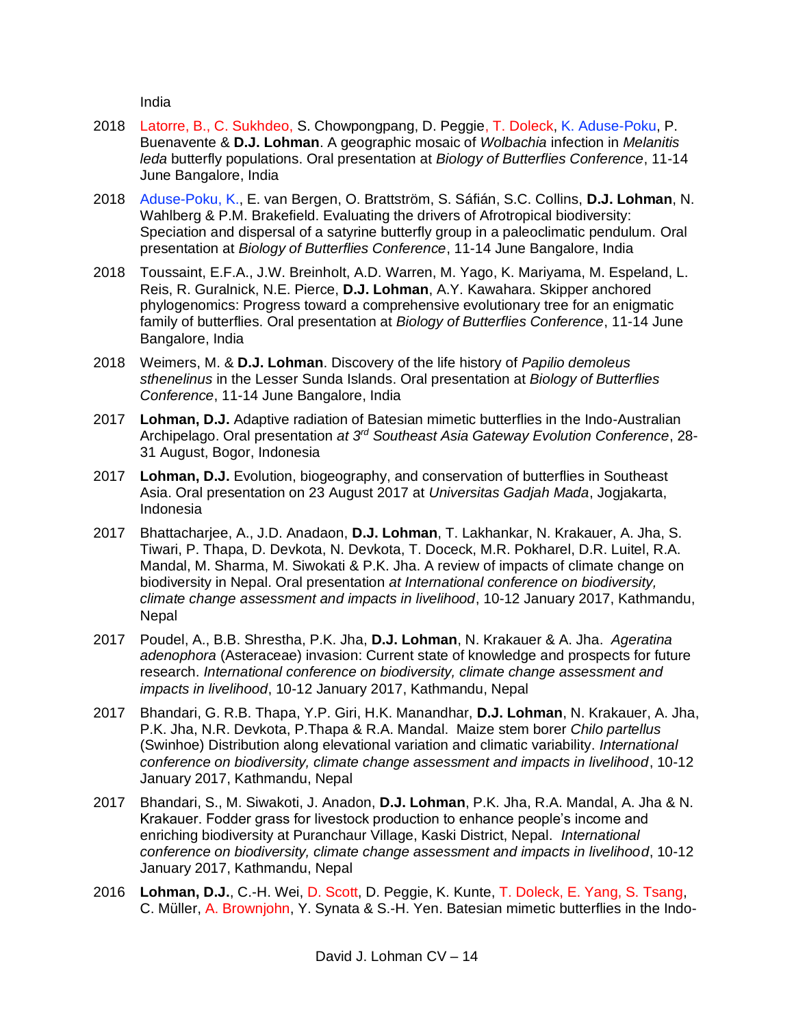India

- 2018 Latorre, B., C. Sukhdeo, S. Chowpongpang, D. Peggie, T. Doleck, K. Aduse-Poku, P. Buenavente & **D.J. Lohman**. A geographic mosaic of *Wolbachia* infection in *Melanitis leda* butterfly populations. Oral presentation at *Biology of Butterflies Conference*, 11-14 June Bangalore, India
- 2018 Aduse-Poku, K., E. van Bergen, O. Brattström, S. Sáfián, S.C. Collins, **D.J. Lohman**, N. Wahlberg & P.M. Brakefield. Evaluating the drivers of Afrotropical biodiversity: Speciation and dispersal of a satyrine butterfly group in a paleoclimatic pendulum. Oral presentation at *Biology of Butterflies Conference*, 11-14 June Bangalore, India
- 2018 Toussaint, E.F.A., J.W. Breinholt, A.D. Warren, M. Yago, K. Mariyama, M. Espeland, L. Reis, R. Guralnick, N.E. Pierce, **D.J. Lohman**, A.Y. Kawahara. Skipper anchored phylogenomics: Progress toward a comprehensive evolutionary tree for an enigmatic family of butterflies. Oral presentation at *Biology of Butterflies Conference*, 11-14 June Bangalore, India
- 2018 Weimers, M. & **D.J. Lohman**. Discovery of the life history of *Papilio demoleus sthenelinus* in the Lesser Sunda Islands. Oral presentation at *Biology of Butterflies Conference*, 11-14 June Bangalore, India
- 2017 **Lohman, D.J.** Adaptive radiation of Batesian mimetic butterflies in the Indo-Australian Archipelago. Oral presentation *at 3rd Southeast Asia Gateway Evolution Conference*, 28- 31 August, Bogor, Indonesia
- 2017 **Lohman, D.J.** Evolution, biogeography, and conservation of butterflies in Southeast Asia. Oral presentation on 23 August 2017 at *Universitas Gadjah Mada*, Jogjakarta, Indonesia
- 2017 Bhattacharjee, A., J.D. Anadaon, **D.J. Lohman**, T. Lakhankar, N. Krakauer, A. Jha, S. Tiwari, P. Thapa, D. Devkota, N. Devkota, T. Doceck, M.R. Pokharel, D.R. Luitel, R.A. Mandal, M. Sharma, M. Siwokati & P.K. Jha. A review of impacts of climate change on biodiversity in Nepal. Oral presentation *at International conference on biodiversity, climate change assessment and impacts in livelihood*, 10-12 January 2017, Kathmandu, Nepal
- 2017 Poudel, A., B.B. Shrestha, P.K. Jha, **D.J. Lohman**, N. Krakauer & A. Jha. *Ageratina adenophora* (Asteraceae) invasion: Current state of knowledge and prospects for future research. *International conference on biodiversity, climate change assessment and impacts in livelihood*, 10-12 January 2017, Kathmandu, Nepal
- 2017 Bhandari, G. R.B. Thapa, Y.P. Giri, H.K. Manandhar, **D.J. Lohman**, N. Krakauer, A. Jha, P.K. Jha, N.R. Devkota, P.Thapa & R.A. Mandal. Maize stem borer *Chilo partellus*  (Swinhoe) Distribution along elevational variation and climatic variability. *International conference on biodiversity, climate change assessment and impacts in livelihood*, 10-12 January 2017, Kathmandu, Nepal
- 2017 Bhandari, S., M. Siwakoti, J. Anadon, **D.J. Lohman**, P.K. Jha, R.A. Mandal, A. Jha & N. Krakauer. Fodder grass for livestock production to enhance people's income and enriching biodiversity at Puranchaur Village, Kaski District, Nepal. *International conference on biodiversity, climate change assessment and impacts in livelihood*, 10-12 January 2017, Kathmandu, Nepal
- 2016 **Lohman, D.J.**, C.-H. Wei, D. Scott, D. Peggie, K. Kunte, T. Doleck, E. Yang, S. Tsang, C. Müller, A. Brownjohn, Y. Synata & S.-H. Yen. Batesian mimetic butterflies in the Indo-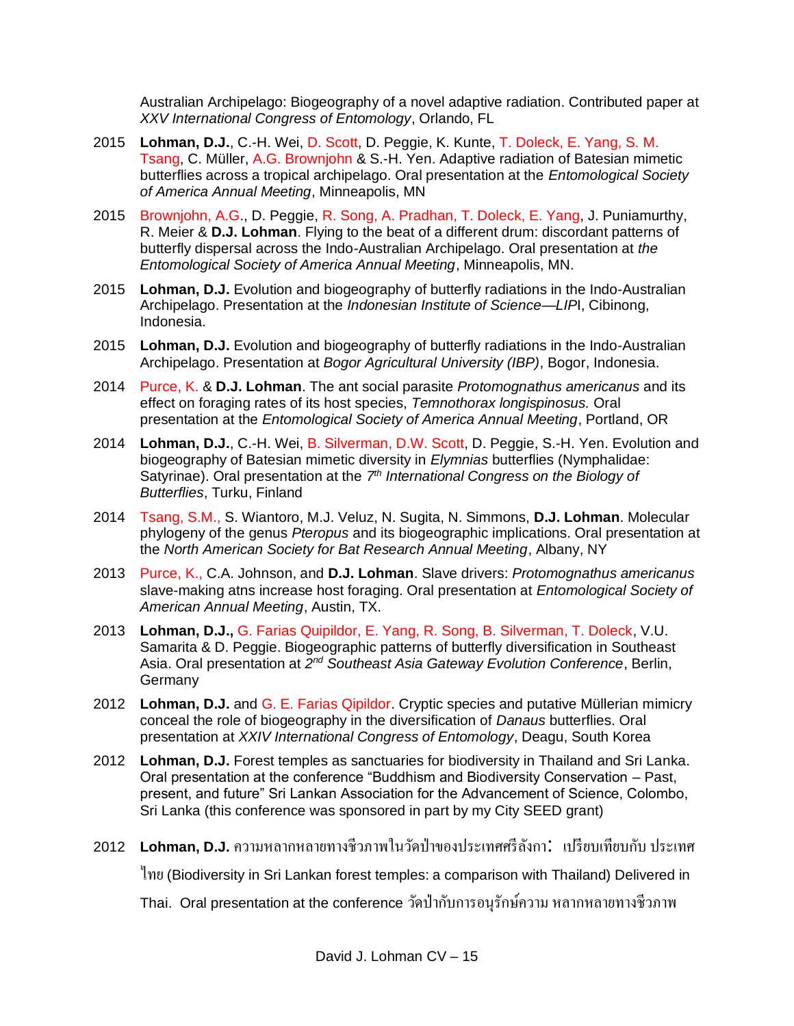Australian Archipelago: Biogeography of a novel adaptive radiation. Contributed paper at *XXV International Congress of Entomology*, Orlando, FL

- 2015 **Lohman, D.J.**, C.-H. Wei, D. Scott, D. Peggie, K. Kunte, T. Doleck, E. Yang, S. M. Tsang, C. Müller, A.G. Brownjohn & S.-H. Yen. Adaptive radiation of Batesian mimetic butterflies across a tropical archipelago. Oral presentation at the *Entomological Society of America Annual Meeting*, Minneapolis, MN
- 2015 Brownjohn, A.G., D. Peggie, R. Song, A. Pradhan, T. Doleck, E. Yang, J. Puniamurthy, R. Meier & **D.J. Lohman**. Flying to the beat of a different drum: discordant patterns of butterfly dispersal across the Indo-Australian Archipelago. Oral presentation at *the Entomological Society of America Annual Meeting*, Minneapolis, MN.
- 2015 **Lohman, D.J.** Evolution and biogeography of butterfly radiations in the Indo-Australian Archipelago. Presentation at the *Indonesian Institute of Science—LIP*I, Cibinong, Indonesia.
- 2015 **Lohman, D.J.** Evolution and biogeography of butterfly radiations in the Indo-Australian Archipelago. Presentation at *Bogor Agricultural University (IBP)*, Bogor, Indonesia.
- 2014 Purce, K. & **D.J. Lohman**. The ant social parasite *Protomognathus americanus* and its effect on foraging rates of its host species, *Temnothorax longispinosus.* Oral presentation at the *Entomological Society of America Annual Meeting*, Portland, OR
- 2014 **Lohman, D.J.**, C.-H. Wei, B. Silverman, D.W. Scott, D. Peggie, S.-H. Yen. Evolution and biogeography of Batesian mimetic diversity in *Elymnias* butterflies (Nymphalidae: Satyrinae). Oral presentation at the 7<sup>th</sup> International Congress on the Biology of *Butterflies*, Turku, Finland
- 2014 Tsang, S.M., S. Wiantoro, M.J. Veluz, N. Sugita, N. Simmons, **D.J. Lohman**. Molecular phylogeny of the genus *Pteropus* and its biogeographic implications. Oral presentation at the *North American Society for Bat Research Annual Meeting*, Albany, NY
- 2013 Purce, K., C.A. Johnson, and **D.J. Lohman**. Slave drivers: *Protomognathus americanus* slave-making atns increase host foraging. Oral presentation at *Entomological Society of American Annual Meeting*, Austin, TX.
- 2013 **Lohman, D.J.,** G. Farias Quipildor, E. Yang, R. Song, B. Silverman, T. Doleck, V.U. Samarita & D. Peggie. Biogeographic patterns of butterfly diversification in Southeast Asia. Oral presentation at 2<sup>nd</sup> Southeast Asia Gateway Evolution Conference, Berlin, Germany
- 2012 **Lohman, D.J.** and G. E. Farias Qipildor. Cryptic species and putative Müllerian mimicry conceal the role of biogeography in the diversification of *Danaus* butterflies. Oral presentation at *XXIV International Congress of Entomology*, Deagu, South Korea
- 2012 **Lohman, D.J.** Forest temples as sanctuaries for biodiversity in Thailand and Sri Lanka. Oral presentation at the conference "Buddhism and Biodiversity Conservation – Past, present, and future" Sri Lankan Association for the Advancement of Science, Colombo, Sri Lanka (this conference was sponsored in part by my City SEED grant)
- <sup>2012</sup> **Lohman, D.J.**ความหลากหลายทางชีวภาพในวัดป่ าของประเทศศรีลังกา: เปรียบเทียบกับ ประเทศ

ไทย(Biodiversity in Sri Lankan forest temples: a comparison with Thailand) Delivered in

Thai. Oral presentation at the conference วัดป่ ากับการอนุรักษ์ความ หลากหลายทางชีวภาพ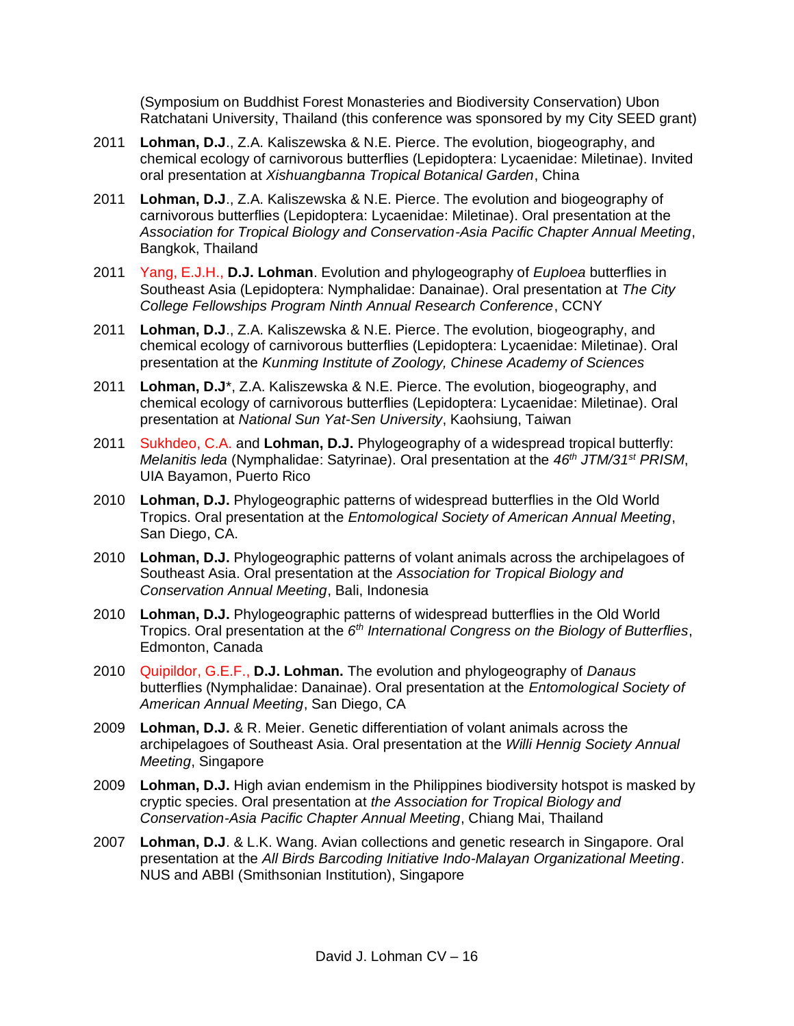(Symposium on Buddhist Forest Monasteries and Biodiversity Conservation) Ubon Ratchatani University, Thailand (this conference was sponsored by my City SEED grant)

- 2011 **Lohman, D.J**., Z.A. Kaliszewska & N.E. Pierce. The evolution, biogeography, and chemical ecology of carnivorous butterflies (Lepidoptera: Lycaenidae: Miletinae). Invited oral presentation at *Xishuangbanna Tropical Botanical Garden*, China
- 2011 **Lohman, D.J**., Z.A. Kaliszewska & N.E. Pierce. The evolution and biogeography of carnivorous butterflies (Lepidoptera: Lycaenidae: Miletinae). Oral presentation at the *Association for Tropical Biology and Conservation-Asia Pacific Chapter Annual Meeting*, Bangkok, Thailand
- 2011 Yang, E.J.H., **D.J. Lohman**. Evolution and phylogeography of *Euploea* butterflies in Southeast Asia (Lepidoptera: Nymphalidae: Danainae). Oral presentation at *The City College Fellowships Program Ninth Annual Research Conference*, CCNY
- 2011 **Lohman, D.J**., Z.A. Kaliszewska & N.E. Pierce. The evolution, biogeography, and chemical ecology of carnivorous butterflies (Lepidoptera: Lycaenidae: Miletinae). Oral presentation at the *Kunming Institute of Zoology, Chinese Academy of Sciences*
- 2011 **Lohman, D.J**\*, Z.A. Kaliszewska & N.E. Pierce. The evolution, biogeography, and chemical ecology of carnivorous butterflies (Lepidoptera: Lycaenidae: Miletinae). Oral presentation at *National Sun Yat-Sen University*, Kaohsiung, Taiwan
- 2011 Sukhdeo, C.A. and **Lohman, D.J.** Phylogeography of a widespread tropical butterfly: *Melanitis leda* (Nymphalidae: Satyrinae). Oral presentation at the *46th JTM/31st PRISM*, UIA Bayamon, Puerto Rico
- 2010 **Lohman, D.J.** Phylogeographic patterns of widespread butterflies in the Old World Tropics. Oral presentation at the *Entomological Society of American Annual Meeting*, San Diego, CA.
- 2010 **Lohman, D.J.** Phylogeographic patterns of volant animals across the archipelagoes of Southeast Asia. Oral presentation at the *Association for Tropical Biology and Conservation Annual Meeting*, Bali, Indonesia
- 2010 **Lohman, D.J.** Phylogeographic patterns of widespread butterflies in the Old World Tropics. Oral presentation at the *6 th International Congress on the Biology of Butterflies*, Edmonton, Canada
- 2010 Quipildor, G.E.F., **D.J. Lohman.** The evolution and phylogeography of *Danaus* butterflies (Nymphalidae: Danainae). Oral presentation at the *Entomological Society of American Annual Meeting*, San Diego, CA
- 2009 **Lohman, D.J.** & R. Meier. Genetic differentiation of volant animals across the archipelagoes of Southeast Asia. Oral presentation at the *Willi Hennig Society Annual Meeting*, Singapore
- 2009 **Lohman, D.J.** High avian endemism in the Philippines biodiversity hotspot is masked by cryptic species. Oral presentation at *the Association for Tropical Biology and Conservation-Asia Pacific Chapter Annual Meeting*, Chiang Mai, Thailand
- 2007 **Lohman, D.J**. & L.K. Wang. Avian collections and genetic research in Singapore. Oral presentation at the *All Birds Barcoding Initiative Indo-Malayan Organizational Meeting*. NUS and ABBI (Smithsonian Institution), Singapore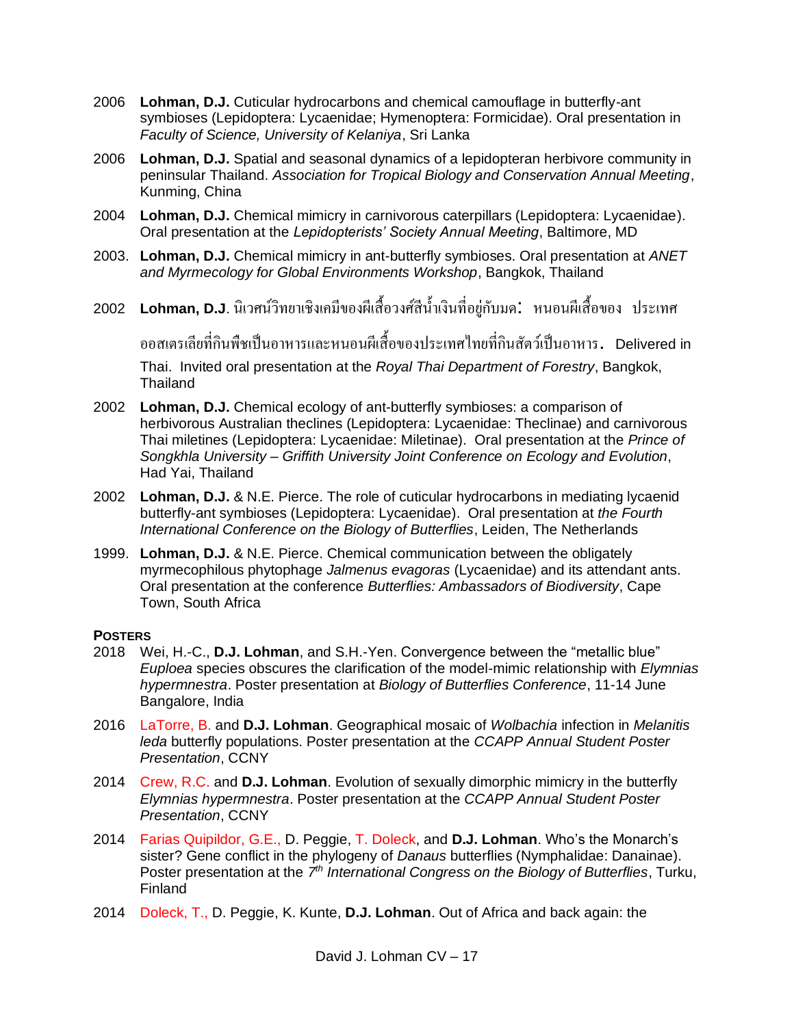- 2006 **Lohman, D.J.** Cuticular hydrocarbons and chemical camouflage in butterfly-ant symbioses (Lepidoptera: Lycaenidae; Hymenoptera: Formicidae). Oral presentation in *Faculty of Science, University of Kelaniya*, Sri Lanka
- 2006 **Lohman, D.J.** Spatial and seasonal dynamics of a lepidopteran herbivore community in peninsular Thailand. *Association for Tropical Biology and Conservation Annual Meeting*, Kunming, China
- 2004 **Lohman, D.J.** Chemical mimicry in carnivorous caterpillars (Lepidoptera: Lycaenidae). Oral presentation at the *Lepidopterists' Society Annual Meeting*, Baltimore, MD
- 2003. **Lohman, D.J.** Chemical mimicry in ant-butterfly symbioses. Oral presentation at *ANET and Myrmecology for Global Environments Workshop*, Bangkok, Thailand
- 2002 **Lohman, D.J**. นิเวศน์วิทยาเชิงเคมีของผีเสื้อวงศ์สีน้ำเงินที่อยู่กับมด: หนอนผีเสื้อของ ประเทศ

ออสเตรเลียที่กินพืชเป็นอาหารและหนอนผีเส้ือของประเทศไทยที่กินสัตวเ์ป็นอาหาร. Delivered in Thai. Invited oral presentation at the *Royal Thai Department of Forestry*, Bangkok, Thailand

- 2002 **Lohman, D.J.** Chemical ecology of ant-butterfly symbioses: a comparison of herbivorous Australian theclines (Lepidoptera: Lycaenidae: Theclinae) and carnivorous Thai miletines (Lepidoptera: Lycaenidae: Miletinae). Oral presentation at the *Prince of Songkhla University – Griffith University Joint Conference on Ecology and Evolution*, Had Yai, Thailand
- 2002 **Lohman, D.J.** & N.E. Pierce. The role of cuticular hydrocarbons in mediating lycaenid butterfly-ant symbioses (Lepidoptera: Lycaenidae). Oral presentation at *the Fourth International Conference on the Biology of Butterflies*, Leiden, The Netherlands
- 1999. **Lohman, D.J.** & N.E. Pierce. Chemical communication between the obligately myrmecophilous phytophage *Jalmenus evagoras* (Lycaenidae) and its attendant ants. Oral presentation at the conference *Butterflies: Ambassadors of Biodiversity*, Cape Town, South Africa

# **POSTERS**

- 2018 Wei, H.-C., **D.J. Lohman**, and S.H.-Yen. Convergence between the "metallic blue" *Euploea* species obscures the clarification of the model-mimic relationship with *Elymnias hypermnestra*. Poster presentation at *Biology of Butterflies Conference*, 11-14 June Bangalore, India
- 2016 LaTorre, B. and **D.J. Lohman**. Geographical mosaic of *Wolbachia* infection in *Melanitis leda* butterfly populations. Poster presentation at the *CCAPP Annual Student Poster Presentation*, CCNY
- 2014 Crew, R.C. and **D.J. Lohman**. Evolution of sexually dimorphic mimicry in the butterfly *Elymnias hypermnestra*. Poster presentation at the *CCAPP Annual Student Poster Presentation*, CCNY
- 2014 Farias Quipildor, G.E., D. Peggie, T. Doleck, and **D.J. Lohman**. Who's the Monarch's sister? Gene conflict in the phylogeny of *Danaus* butterflies (Nymphalidae: Danainae). Poster presentation at the 7<sup>th</sup> International Congress on the Biology of Butterflies, Turku, Finland
- 2014 Doleck, T., D. Peggie, K. Kunte, **D.J. Lohman**. Out of Africa and back again: the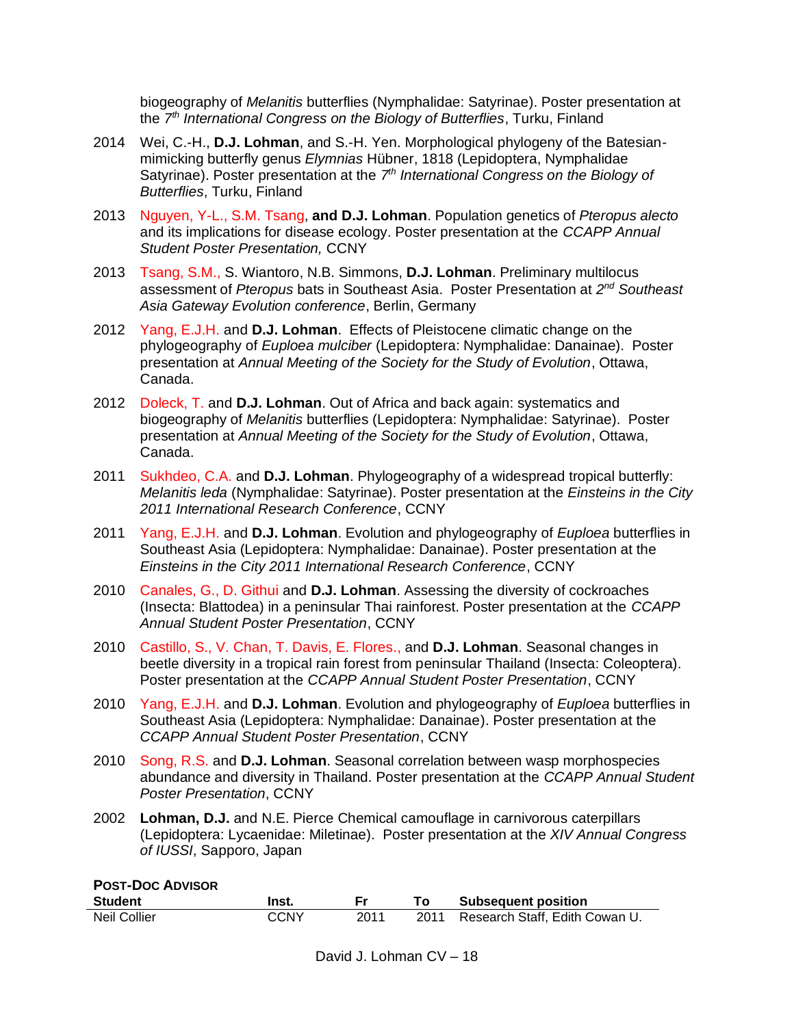biogeography of *Melanitis* butterflies (Nymphalidae: Satyrinae). Poster presentation at the *7 th International Congress on the Biology of Butterflies*, Turku, Finland

- 2014 Wei, C.-H., **D.J. Lohman**, and S.-H. Yen. Morphological phylogeny of the Batesianmimicking butterfly genus *Elymnias* Hübner, 1818 (Lepidoptera, Nymphalidae Satyrinae). Poster presentation at the 7<sup>th</sup> International Congress on the Biology of *Butterflies*, Turku, Finland
- 2013 Nguyen, Y-L., S.M. Tsang, **and D.J. Lohman**. Population genetics of *Pteropus alecto*  and its implications for disease ecology. Poster presentation at the *CCAPP Annual Student Poster Presentation,* CCNY
- 2013 Tsang, S.M., S. Wiantoro, N.B. Simmons, **D.J. Lohman**. Preliminary multilocus assessment of *Pteropus* bats in Southeast Asia. Poster Presentation at *2 nd Southeast Asia Gateway Evolution conference*, Berlin, Germany
- 2012 Yang, E.J.H. and **D.J. Lohman**. Effects of Pleistocene climatic change on the phylogeography of *Euploea mulciber* (Lepidoptera: Nymphalidae: Danainae). Poster presentation at *Annual Meeting of the Society for the Study of Evolution*, Ottawa, Canada.
- 2012 Doleck, T. and **D.J. Lohman**. Out of Africa and back again: systematics and biogeography of *Melanitis* butterflies (Lepidoptera: Nymphalidae: Satyrinae). Poster presentation at *Annual Meeting of the Society for the Study of Evolution*, Ottawa, Canada.
- 2011 Sukhdeo, C.A. and **D.J. Lohman**. Phylogeography of a widespread tropical butterfly: *Melanitis leda* (Nymphalidae: Satyrinae). Poster presentation at the *Einsteins in the City 2011 International Research Conference*, CCNY
- 2011 Yang, E.J.H. and **D.J. Lohman**. Evolution and phylogeography of *Euploea* butterflies in Southeast Asia (Lepidoptera: Nymphalidae: Danainae). Poster presentation at the *Einsteins in the City 2011 International Research Conference*, CCNY
- 2010 Canales, G., D. Githui and **D.J. Lohman**. Assessing the diversity of cockroaches (Insecta: Blattodea) in a peninsular Thai rainforest. Poster presentation at the *CCAPP Annual Student Poster Presentation*, CCNY
- 2010 Castillo, S., V. Chan, T. Davis, E. Flores., and **D.J. Lohman**. Seasonal changes in beetle diversity in a tropical rain forest from peninsular Thailand (Insecta: Coleoptera). Poster presentation at the *CCAPP Annual Student Poster Presentation*, CCNY
- 2010 Yang, E.J.H. and **D.J. Lohman**. Evolution and phylogeography of *Euploea* butterflies in Southeast Asia (Lepidoptera: Nymphalidae: Danainae). Poster presentation at the *CCAPP Annual Student Poster Presentation*, CCNY
- 2010 Song, R.S. and **D.J. Lohman**. Seasonal correlation between wasp morphospecies abundance and diversity in Thailand. Poster presentation at the *CCAPP Annual Student Poster Presentation*, CCNY
- 2002 **Lohman, D.J.** and N.E. Pierce Chemical camouflage in carnivorous caterpillars (Lepidoptera: Lycaenidae: Miletinae). Poster presentation at the *XIV Annual Congress of IUSSI*, Sapporo, Japan

| <b>POST-DOC ADVISOR</b> |       |      |    |                                     |
|-------------------------|-------|------|----|-------------------------------------|
| <b>Student</b>          | Inst. |      | Τo | <b>Subsequent position</b>          |
| Neil Collier            | CCNY  | 2011 |    | 2011 Research Staff, Edith Cowan U. |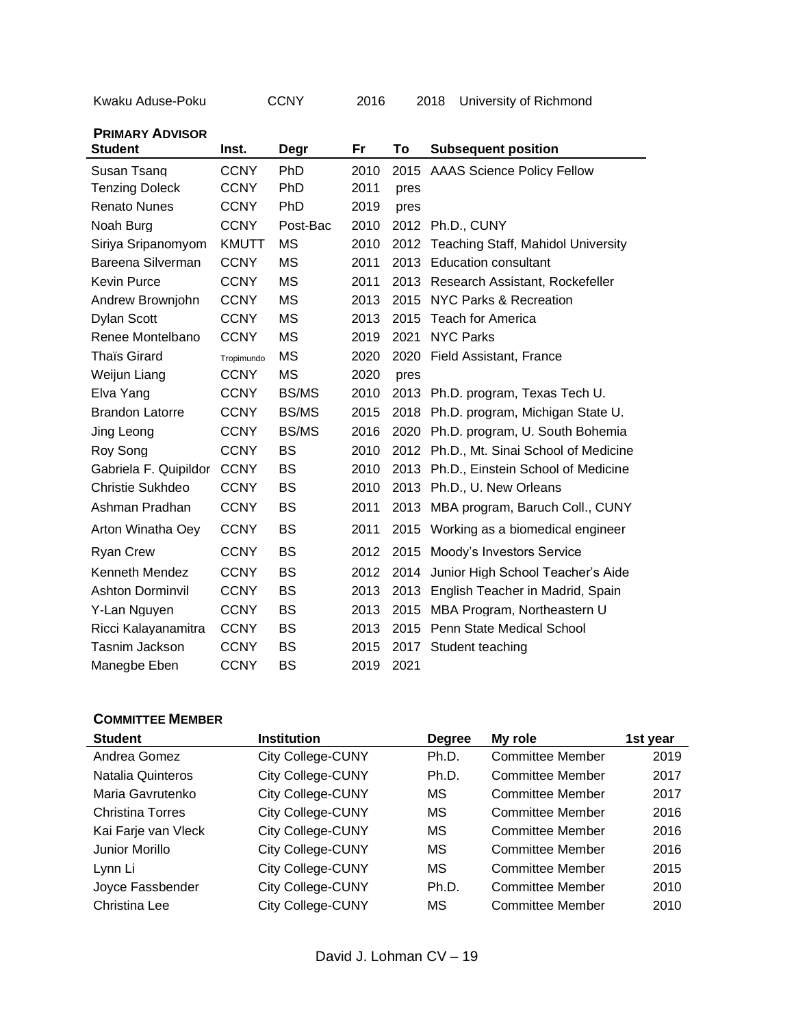| Kwaku Aduse-Poku |  |
|------------------|--|
|------------------|--|

CCNY 2016 2018 University of Richmond

**PRIMARY ADVISOR**

| <b>Student</b>          | Inst.        | Degr         | Fr   | To   | <b>Subsequent position</b>               |
|-------------------------|--------------|--------------|------|------|------------------------------------------|
| Susan Tsang             | <b>CCNY</b>  | <b>PhD</b>   | 2010 | 2015 | <b>AAAS Science Policy Fellow</b>        |
| <b>Tenzing Doleck</b>   | <b>CCNY</b>  | PhD          | 2011 | pres |                                          |
| <b>Renato Nunes</b>     | <b>CCNY</b>  | <b>PhD</b>   | 2019 | pres |                                          |
| Noah Burg               | <b>CCNY</b>  | Post-Bac     | 2010 |      | 2012 Ph.D., CUNY                         |
| Siriya Sripanomyom      | <b>KMUTT</b> | <b>MS</b>    | 2010 |      | 2012 Teaching Staff, Mahidol University  |
| Bareena Silverman       | <b>CCNY</b>  | <b>MS</b>    | 2011 |      | 2013 Education consultant                |
| <b>Kevin Purce</b>      | <b>CCNY</b>  | <b>MS</b>    | 2011 | 2013 | Research Assistant, Rockefeller          |
| Andrew Brownjohn        | <b>CCNY</b>  | <b>MS</b>    | 2013 | 2015 | NYC Parks & Recreation                   |
| <b>Dylan Scott</b>      | <b>CCNY</b>  | <b>MS</b>    | 2013 | 2015 | Teach for America                        |
| Renee Montelbano        | <b>CCNY</b>  | <b>MS</b>    | 2019 | 2021 | <b>NYC Parks</b>                         |
| Thaïs Girard            | Tropimundo   | <b>MS</b>    | 2020 | 2020 | Field Assistant, France                  |
| Weijun Liang            | <b>CCNY</b>  | <b>MS</b>    | 2020 | pres |                                          |
| Elva Yang               | <b>CCNY</b>  | <b>BS/MS</b> | 2010 |      | 2013 Ph.D. program, Texas Tech U.        |
| <b>Brandon Latorre</b>  | <b>CCNY</b>  | <b>BS/MS</b> | 2015 | 2018 | Ph.D. program, Michigan State U.         |
| Jing Leong              | <b>CCNY</b>  | <b>BS/MS</b> | 2016 |      | 2020 Ph.D. program, U. South Bohemia     |
| Roy Song                | <b>CCNY</b>  | <b>BS</b>    | 2010 |      | 2012 Ph.D., Mt. Sinai School of Medicine |
| Gabriela F. Quipildor   | <b>CCNY</b>  | <b>BS</b>    | 2010 |      | 2013 Ph.D., Einstein School of Medicine  |
| Christie Sukhdeo        | <b>CCNY</b>  | <b>BS</b>    | 2010 |      | 2013 Ph.D., U. New Orleans               |
| Ashman Pradhan          | <b>CCNY</b>  | <b>BS</b>    | 2011 | 2013 | MBA program, Baruch Coll., CUNY          |
| Arton Winatha Oey       | <b>CCNY</b>  | <b>BS</b>    | 2011 |      | 2015 Working as a biomedical engineer    |
| <b>Ryan Crew</b>        | <b>CCNY</b>  | <b>BS</b>    | 2012 | 2015 | Moody's Investors Service                |
| Kenneth Mendez          | <b>CCNY</b>  | <b>BS</b>    | 2012 |      | 2014 Junior High School Teacher's Aide   |
| <b>Ashton Dorminvil</b> | <b>CCNY</b>  | <b>BS</b>    | 2013 |      | 2013 English Teacher in Madrid, Spain    |
| Y-Lan Nguyen            | <b>CCNY</b>  | <b>BS</b>    | 2013 | 2015 | MBA Program, Northeastern U              |
| Ricci Kalayanamitra     | <b>CCNY</b>  | <b>BS</b>    | 2013 | 2015 | Penn State Medical School                |
| Tasnim Jackson          | <b>CCNY</b>  | <b>BS</b>    | 2015 |      | 2017 Student teaching                    |
| Manegbe Eben            | <b>CCNY</b>  | <b>BS</b>    | 2019 | 2021 |                                          |

### **COMMITTEE MEMBER**

| <b>Student</b>          | <b>Institution</b>       | <b>Degree</b> | My role                 | 1st vear |
|-------------------------|--------------------------|---------------|-------------------------|----------|
| Andrea Gomez            | <b>City College-CUNY</b> | Ph.D.         | <b>Committee Member</b> | 2019     |
| Natalia Quinteros       | <b>City College-CUNY</b> | Ph.D.         | Committee Member        | 2017     |
| Maria Gavrutenko        | <b>City College-CUNY</b> | МS            | <b>Committee Member</b> | 2017     |
| <b>Christina Torres</b> | <b>City College-CUNY</b> | MS            | <b>Committee Member</b> | 2016     |
| Kai Farje van Vleck     | <b>City College-CUNY</b> | MS            | Committee Member        | 2016     |
| Junior Morillo          | <b>City College-CUNY</b> | MS            | <b>Committee Member</b> | 2016     |
| Lynn Li                 | <b>City College-CUNY</b> | MS            | <b>Committee Member</b> | 2015     |
| Joyce Fassbender        | <b>City College-CUNY</b> | Ph.D.         | <b>Committee Member</b> | 2010     |
| Christina Lee           | <b>City College-CUNY</b> | MS            | <b>Committee Member</b> | 2010     |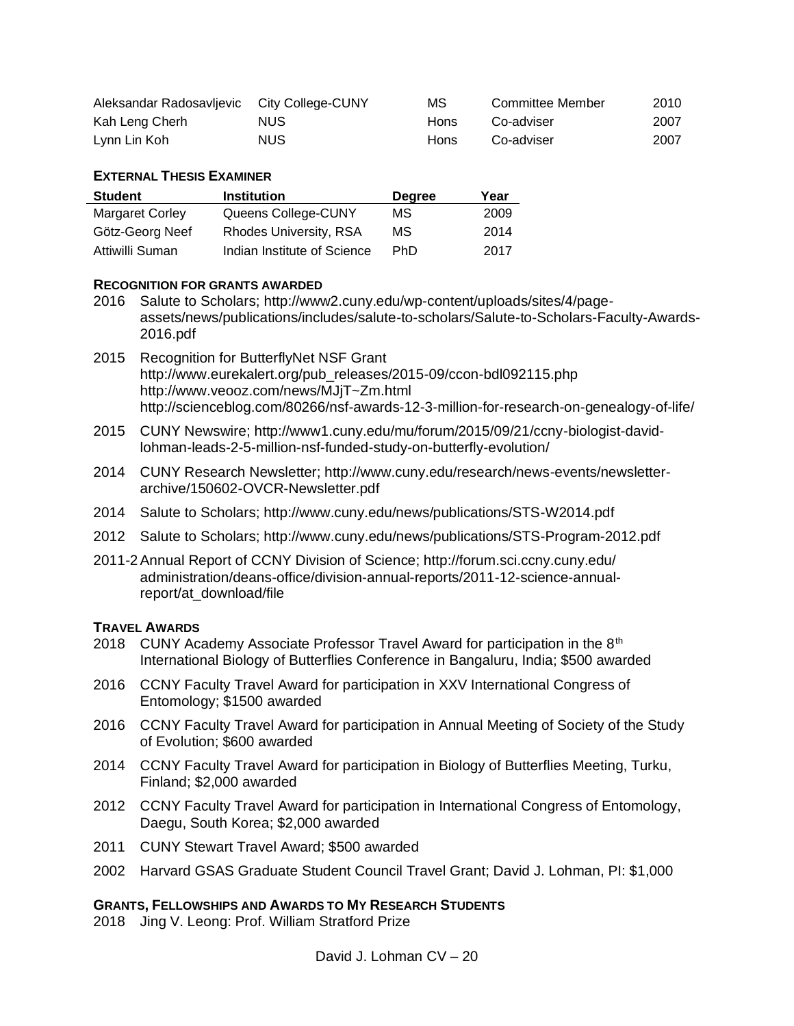| Aleksandar Radosavljevic City College-CUNY |      | МS          | Committee Member | 2010 |
|--------------------------------------------|------|-------------|------------------|------|
| Kah Leng Cherh                             | NUS. | <b>Hons</b> | Co-adviser       | 2007 |
| Lynn Lin Koh                               | NUS. | <b>Hons</b> | Co-adviser       | 2007 |

## **EXTERNAL THESIS EXAMINER**

| <b>Student</b>         | <b>Institution</b>            | <b>Degree</b> | Year |
|------------------------|-------------------------------|---------------|------|
| <b>Margaret Corley</b> | Queens College-CUNY           | МS            | 2009 |
| Götz-Georg Neef        | <b>Rhodes University, RSA</b> | MS.           | 2014 |
| Attiwilli Suman        | Indian Institute of Science   | <b>PhD</b>    | 2017 |

## **RECOGNITION FOR GRANTS AWARDED**

- 2016 Salute to Scholars; http://www2.cuny.edu/wp-content/uploads/sites/4/pageassets/news/publications/includes/salute-to-scholars/Salute-to-Scholars-Faculty-Awards-2016.pdf
- 2015 Recognition for ButterflyNet NSF Grant http://www.eurekalert.org/pub\_releases/2015-09/ccon-bdl092115.php http://www.veooz.com/news/MJjT~Zm.html http://scienceblog.com/80266/nsf-awards-12-3-million-for-research-on-genealogy-of-life/
- 2015 CUNY Newswire; http://www1.cuny.edu/mu/forum/2015/09/21/ccny-biologist-davidlohman-leads-2-5-million-nsf-funded-study-on-butterfly-evolution/
- 2014 CUNY Research Newsletter; http://www.cuny.edu/research/news-events/newsletterarchive/150602-OVCR-Newsletter.pdf
- 2014 Salute to Scholars; http://www.cuny.edu/news/publications/STS-W2014.pdf
- 2012 Salute to Scholars; http://www.cuny.edu/news/publications/STS-Program-2012.pdf
- 2011-2Annual Report of CCNY Division of Science; http://forum.sci.ccny.cuny.edu/ administration/deans-office/division-annual-reports/2011-12-science-annualreport/at\_download/file

### **TRAVEL AWARDS**

- 2018 CUNY Academy Associate Professor Travel Award for participation in the  $8<sup>th</sup>$ International Biology of Butterflies Conference in Bangaluru, India; \$500 awarded
- 2016 CCNY Faculty Travel Award for participation in XXV International Congress of Entomology; \$1500 awarded
- 2016 CCNY Faculty Travel Award for participation in Annual Meeting of Society of the Study of Evolution; \$600 awarded
- 2014 CCNY Faculty Travel Award for participation in Biology of Butterflies Meeting, Turku, Finland; \$2,000 awarded
- 2012 CCNY Faculty Travel Award for participation in International Congress of Entomology, Daegu, South Korea; \$2,000 awarded
- 2011 CUNY Stewart Travel Award; \$500 awarded
- 2002 Harvard GSAS Graduate Student Council Travel Grant; David J. Lohman, PI: \$1,000

### **GRANTS, FELLOWSHIPS AND AWARDS TO MY RESEARCH STUDENTS**

2018 Jing V. Leong: Prof. William Stratford Prize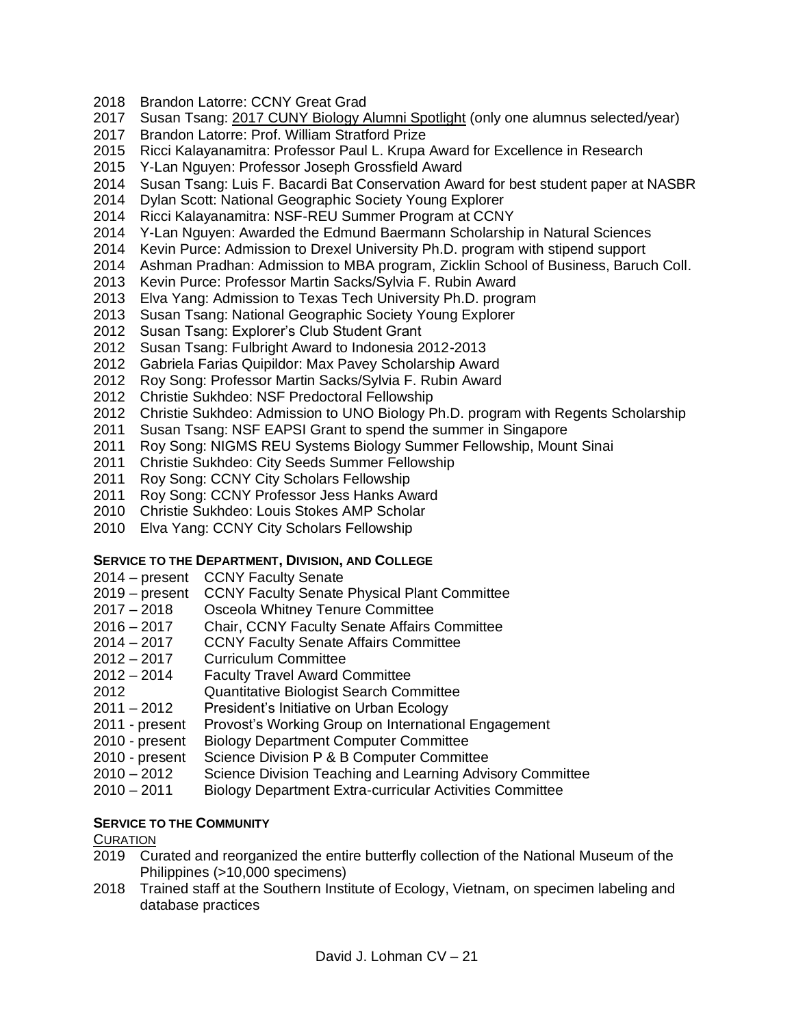- Brandon Latorre: CCNY Great Grad
- Susan Tsang: [2017 CUNY Biology Alumni Spotlight](https://www.gc.cuny.edu/About-the-GC/Provost-s-Office/The-Sciences/Spotlight/Contents/Alumni/Biology/Susan-Tsang) (only one alumnus selected/year)
- Brandon Latorre: Prof. William Stratford Prize
- Ricci Kalayanamitra: Professor Paul L. Krupa Award for Excellence in Research
- Y-Lan Nguyen: Professor Joseph Grossfield Award
- Susan Tsang: Luis F. Bacardi Bat Conservation Award for best student paper at NASBR
- Dylan Scott: National Geographic Society Young Explorer
- Ricci Kalayanamitra: NSF-REU Summer Program at CCNY
- Y-Lan Nguyen: Awarded the Edmund Baermann Scholarship in Natural Sciences
- Kevin Purce: Admission to Drexel University Ph.D. program with stipend support
- Ashman Pradhan: Admission to MBA program, Zicklin School of Business, Baruch Coll.
- Kevin Purce: Professor Martin Sacks/Sylvia F. Rubin Award
- Elva Yang: Admission to Texas Tech University Ph.D. program
- Susan Tsang: National Geographic Society Young Explorer
- Susan Tsang: Explorer's Club Student Grant
- Susan Tsang: Fulbright Award to Indonesia 2012-2013
- Gabriela Farias Quipildor: Max Pavey Scholarship Award
- Roy Song: Professor Martin Sacks/Sylvia F. Rubin Award
- Christie Sukhdeo: NSF Predoctoral Fellowship
- Christie Sukhdeo: Admission to UNO Biology Ph.D. program with Regents Scholarship
- Susan Tsang: NSF EAPSI Grant to spend the summer in Singapore
- Roy Song: NIGMS REU Systems Biology Summer Fellowship, Mount Sinai
- Christie Sukhdeo: City Seeds Summer Fellowship
- Roy Song: CCNY City Scholars Fellowship
- Roy Song: CCNY Professor Jess Hanks Award
- 2010 Christie Sukhdeo: Louis Stokes AMP Scholar
- Elva Yang: CCNY City Scholars Fellowship

# **SERVICE TO THE DEPARTMENT, DIVISION, AND COLLEGE**

- 2014 present CCNY Faculty Senate
- 2019 present CCNY Faculty Senate Physical Plant Committee
- 2018 Osceola Whitney Tenure Committee
- 2016 2017 Chair, CCNY Faculty Senate Affairs Committee
- 2014 2017 CCNY Faculty Senate Affairs Committee
- 2012 2017 Curriculum Committee
- 2012 2014 Faculty Travel Award Committee
- Quantitative Biologist Search Committee
- 2011 2012 President's Initiative on Urban Ecology
- 2011 present Provost's Working Group on International Engagement
- 2010 present Biology Department Computer Committee
- 2010 present Science Division P & B Computer Committee
- 2010 2012 Science Division Teaching and Learning Advisory Committee
- 2010 2011 Biology Department Extra-curricular Activities Committee

# **SERVICE TO THE COMMUNITY**

# **CURATION**

- Curated and reorganized the entire butterfly collection of the National Museum of the Philippines (>10,000 specimens)
- Trained staff at the Southern Institute of Ecology, Vietnam, on specimen labeling and database practices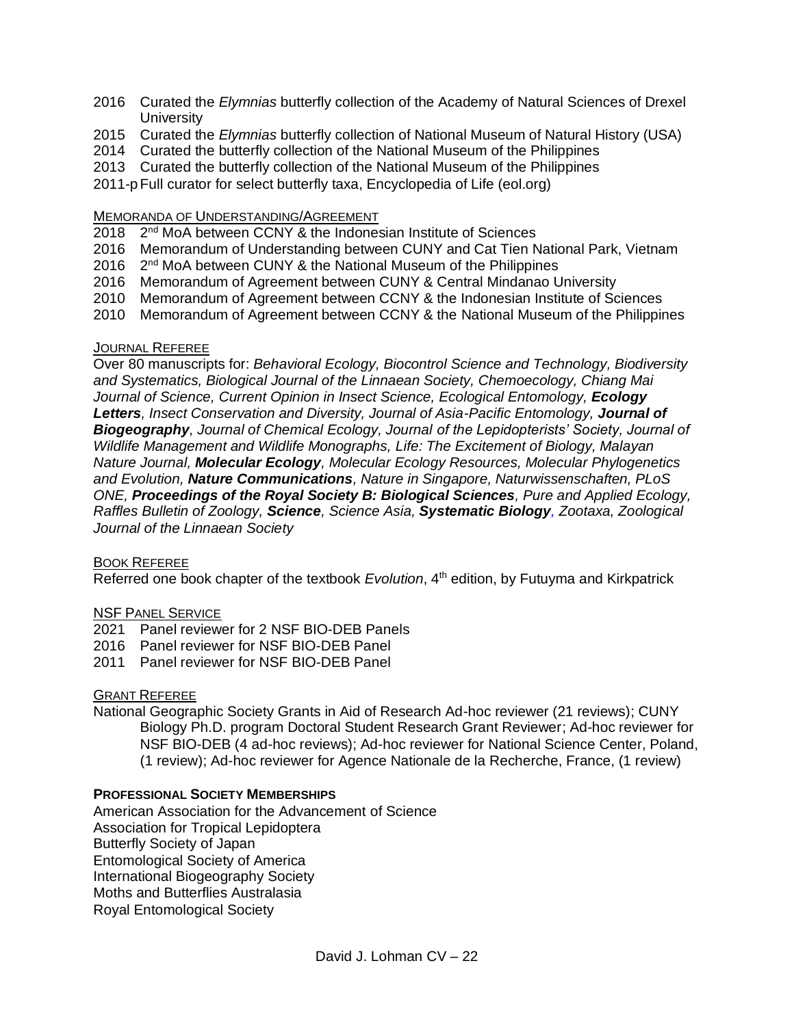- 2016 Curated the *Elymnias* butterfly collection of the Academy of Natural Sciences of Drexel **University**
- 2015 Curated the *Elymnias* butterfly collection of National Museum of Natural History (USA)
- 2014 Curated the butterfly collection of the National Museum of the Philippines
- 2013 Curated the butterfly collection of the National Museum of the Philippines

2011-pFull curator for select butterfly taxa, Encyclopedia of Life (eol.org)

### MEMORANDA OF UNDERSTANDING/AGREEMENT

- 2018 2<sup>nd</sup> MoA between CCNY & the Indonesian Institute of Sciences
- 2016 Memorandum of Understanding between CUNY and Cat Tien National Park, Vietnam
- 2016 2<sup>nd</sup> MoA between CUNY & the National Museum of the Philippines
- 2016 Memorandum of Agreement between CUNY & Central Mindanao University
- 2010 Memorandum of Agreement between CCNY & the Indonesian Institute of Sciences
- 2010 Memorandum of Agreement between CCNY & the National Museum of the Philippines

## JOURNAL REFEREE

Over 80 manuscripts for: *Behavioral Ecology, Biocontrol Science and Technology, Biodiversity and Systematics, Biological Journal of the Linnaean Society, Chemoecology, Chiang Mai Journal of Science, Current Opinion in Insect Science, Ecological Entomology, Ecology*  Letters, Insect Conservation and Diversity, Journal of Asia-Pacific Entomology, Journal of *Biogeography, Journal of Chemical Ecology, Journal of the Lepidopterists' Society, Journal of Wildlife Management and Wildlife Monographs, Life: The Excitement of Biology, Malayan Nature Journal, Molecular Ecology, Molecular Ecology Resources, Molecular Phylogenetics and Evolution, Nature Communications, Nature in Singapore, Naturwissenschaften, PLoS ONE, Proceedings of the Royal Society B: Biological Sciences, Pure and Applied Ecology, Raffles Bulletin of Zoology, Science, Science Asia, Systematic Biology, Zootaxa, Zoological Journal of the Linnaean Society*

### BOOK REFEREE

Referred one book chapter of the textbook *Evolution*, 4<sup>th</sup> edition, by Futuyma and Kirkpatrick

# NSF PANEL SERVICE

- 2021 Panel reviewer for 2 NSF BIO-DEB Panels
- 2016 Panel reviewer for NSF BIO-DEB Panel
- 2011 Panel reviewer for NSF BIO-DEB Panel

# GRANT REFEREE

National Geographic Society Grants in Aid of Research Ad-hoc reviewer (21 reviews); CUNY Biology Ph.D. program Doctoral Student Research Grant Reviewer; Ad-hoc reviewer for NSF BIO-DEB (4 ad-hoc reviews); Ad-hoc reviewer for National Science Center, Poland, (1 review); Ad-hoc reviewer for Agence Nationale de la Recherche, France, (1 review)

# **PROFESSIONAL SOCIETY MEMBERSHIPS**

American Association for the Advancement of Science Association for Tropical Lepidoptera Butterfly Society of Japan Entomological Society of America International Biogeography Society Moths and Butterflies Australasia Royal Entomological Society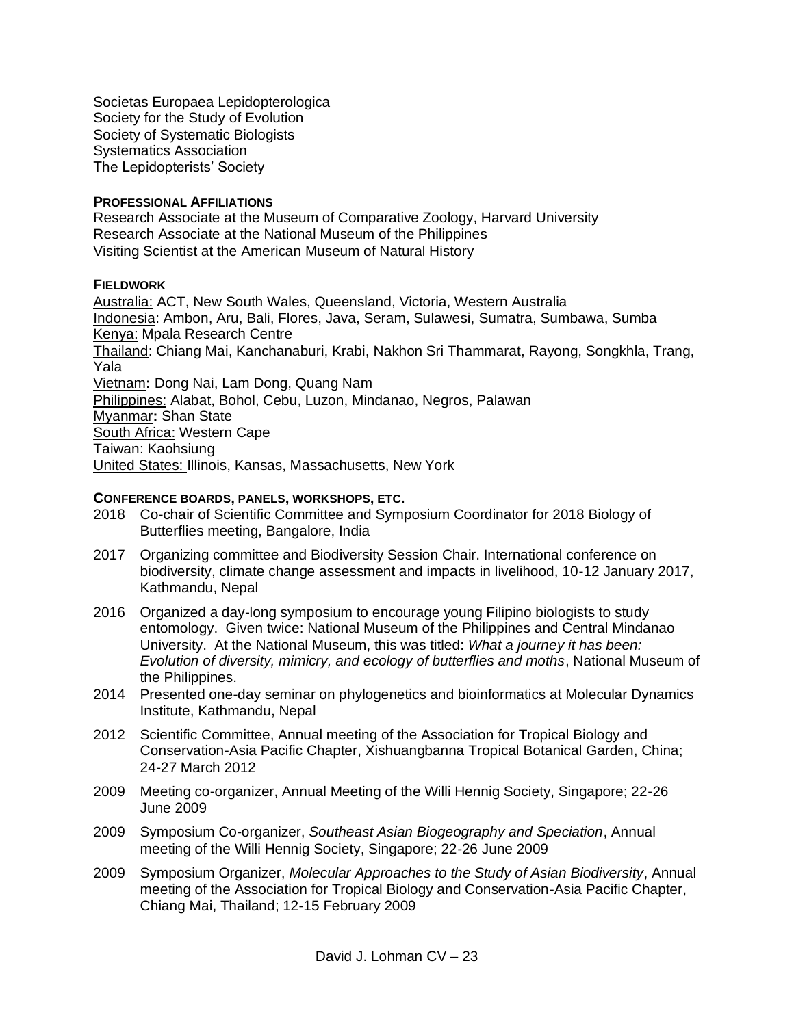Societas Europaea Lepidopterologica Society for the Study of Evolution Society of Systematic Biologists Systematics Association The Lepidopterists' Society

### **PROFESSIONAL AFFILIATIONS**

Research Associate at the Museum of Comparative Zoology, Harvard University Research Associate at the National Museum of the Philippines Visiting Scientist at the American Museum of Natural History

## **FIELDWORK**

Australia: ACT, New South Wales, Queensland, Victoria, Western Australia Indonesia: Ambon, Aru, Bali, Flores, Java, Seram, Sulawesi, Sumatra, Sumbawa, Sumba Kenya: Mpala Research Centre Thailand: Chiang Mai, Kanchanaburi, Krabi, Nakhon Sri Thammarat, Rayong, Songkhla, Trang, Yala Vietnam**:** Dong Nai, Lam Dong, Quang Nam Philippines: Alabat, Bohol, Cebu, Luzon, Mindanao, Negros, Palawan Myanmar**:** Shan State South Africa: Western Cape Taiwan: Kaohsiung United States: Illinois, Kansas, Massachusetts, New York

## **CONFERENCE BOARDS, PANELS, WORKSHOPS, ETC.**

- 2018 Co-chair of Scientific Committee and Symposium Coordinator for 2018 Biology of Butterflies meeting, Bangalore, India
- 2017 Organizing committee and Biodiversity Session Chair. International conference on biodiversity, climate change assessment and impacts in livelihood, 10-12 January 2017, Kathmandu, Nepal
- 2016 Organized a day-long symposium to encourage young Filipino biologists to study entomology. Given twice: National Museum of the Philippines and Central Mindanao University. At the National Museum, this was titled: *What a journey it has been: Evolution of diversity, mimicry, and ecology of butterflies and moths*, National Museum of the Philippines.
- 2014 Presented one-day seminar on phylogenetics and bioinformatics at Molecular Dynamics Institute, Kathmandu, Nepal
- 2012 Scientific Committee, Annual meeting of the Association for Tropical Biology and Conservation-Asia Pacific Chapter, Xishuangbanna Tropical Botanical Garden, China; 24-27 March 2012
- 2009 Meeting co-organizer, Annual Meeting of the Willi Hennig Society, Singapore; 22-26 June 2009
- 2009 Symposium Co-organizer, *Southeast Asian Biogeography and Speciation*, Annual meeting of the Willi Hennig Society, Singapore; 22-26 June 2009
- 2009 Symposium Organizer, *Molecular Approaches to the Study of Asian Biodiversity*, Annual meeting of the Association for Tropical Biology and Conservation-Asia Pacific Chapter, Chiang Mai, Thailand; 12-15 February 2009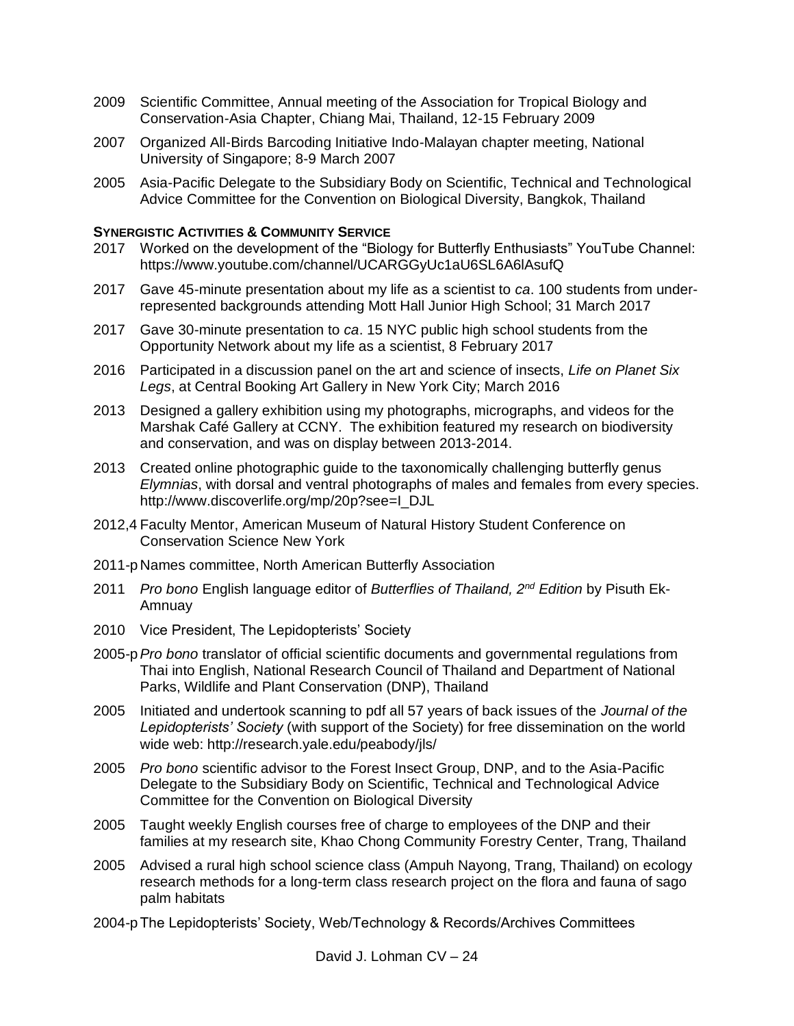- 2009 Scientific Committee, Annual meeting of the Association for Tropical Biology and Conservation-Asia Chapter, Chiang Mai, Thailand, 12-15 February 2009
- 2007 Organized All-Birds Barcoding Initiative Indo-Malayan chapter meeting, National University of Singapore; 8-9 March 2007
- 2005 Asia-Pacific Delegate to the Subsidiary Body on Scientific, Technical and Technological Advice Committee for the Convention on Biological Diversity, Bangkok, Thailand

## **SYNERGISTIC ACTIVITIES & COMMUNITY SERVICE**

- 2017 Worked on the development of the "Biology for Butterfly Enthusiasts" YouTube Channel: https://www.youtube.com/channel/UCARGGyUc1aU6SL6A6lAsufQ
- 2017 Gave 45-minute presentation about my life as a scientist to *ca*. 100 students from underrepresented backgrounds attending Mott Hall Junior High School; 31 March 2017
- 2017 Gave 30-minute presentation to *ca*. 15 NYC public high school students from the Opportunity Network about my life as a scientist, 8 February 2017
- 2016 Participated in a discussion panel on the art and science of insects, *Life on Planet Six Legs*, at Central Booking Art Gallery in New York City; March 2016
- 2013 Designed a gallery exhibition using my photographs, micrographs, and videos for the Marshak Café Gallery at CCNY. The exhibition featured my research on biodiversity and conservation, and was on display between 2013-2014.
- 2013 Created online photographic guide to the taxonomically challenging butterfly genus *Elymnias*, with dorsal and ventral photographs of males and females from every species. http://www.discoverlife.org/mp/20p?see=I\_DJL
- 2012,4 Faculty Mentor, American Museum of Natural History Student Conference on Conservation Science New York
- 2011-p Names committee, North American Butterfly Association
- 2011 *Pro bono* English language editor of *Butterflies of Thailand, 2nd Edition* by Pisuth Ek-Amnuay
- 2010 Vice President, The Lepidopterists' Society
- 2005-p*Pro bono* translator of official scientific documents and governmental regulations from Thai into English, National Research Council of Thailand and Department of National Parks, Wildlife and Plant Conservation (DNP), Thailand
- 2005 Initiated and undertook scanning to pdf all 57 years of back issues of the *Journal of the Lepidopterists' Society* (with support of the Society) for free dissemination on the world wide web: http://research.yale.edu/peabody/jls/
- 2005 *Pro bono* scientific advisor to the Forest Insect Group, DNP, and to the Asia-Pacific Delegate to the Subsidiary Body on Scientific, Technical and Technological Advice Committee for the Convention on Biological Diversity
- 2005 Taught weekly English courses free of charge to employees of the DNP and their families at my research site, Khao Chong Community Forestry Center, Trang, Thailand
- 2005 Advised a rural high school science class (Ampuh Nayong, Trang, Thailand) on ecology research methods for a long-term class research project on the flora and fauna of sago palm habitats
- 2004-pThe Lepidopterists' Society, Web/Technology & Records/Archives Committees